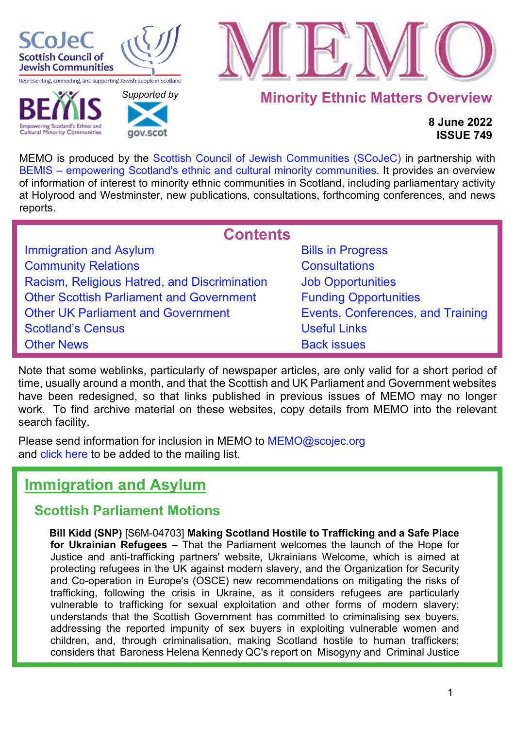

**Cultural Minority Communities** 

 *[Supported b](http://www.gov.scot/)y* 

gov.scot



## **Minority Ethnic Matters Overview**

## **8 June 2022 ISSUE 749**

MEMO is produced by the [Scottish Council of Jewish Communities \(SCoJeC\)](https://www.scojec.org/index.html) in partnership with [BEMIS – empowering Scotland's ethnic and cultural minority communities.](https://bemis.org.uk/) It provides an overview of information of interest to minority ethnic communities in Scotland, including parliamentary activity at Holyrood and Westminster, new publications, consultations, forthcoming conferences, and news reports.

<span id="page-0-1"></span>

| <b>Contents</b>                                 |                                   |
|-------------------------------------------------|-----------------------------------|
| <b>Immigration and Asylum</b>                   | <b>Bills in Progress</b>          |
| <b>Community Relations</b>                      | <b>Consultations</b>              |
| Racism, Religious Hatred, and Discrimination    | <b>Job Opportunities</b>          |
| <b>Other Scottish Parliament and Government</b> | <b>Funding Opportunities</b>      |
| <b>Other UK Parliament and Government</b>       | Events, Conferences, and Training |
| <b>Scotland's Census</b>                        | <b>Useful Links</b>               |
| <b>Other News</b>                               | <b>Back issues</b>                |

Note that some weblinks, particularly of newspaper articles, are only valid for a short period of time, usually around a month, and that the Scottish and UK Parliament and Government websites have been redesigned, so that links published in previous issues of MEMO may no longer work. To find archive material on these websites, copy details from MEMO into the relevant search facility.

Please send information for inclusion in MEMO to MEMO@scojec.org and [click here](https://www.scojec.org/memo/subscribe/subscribe.html) to be added to the mailing list.

# <span id="page-0-0"></span>**Immigration and Asylum**

## **Scottish Parliament Motions**

**Bill Kidd (SNP)** [S6M-04703] **Making Scotland Hostile to Trafficking and a Safe Place for Ukrainian Refugees** – That the Parliament welcomes the launch of the Hope for Justice and anti-trafficking partners' website, Ukrainians Welcome, which is aimed at protecting refugees in the UK against modern slavery, and the Organization for Security and Co-operation in Europe's (OSCE) new recommendations on mitigating the risks of trafficking, following the crisis in Ukraine, as it considers refugees are particularly vulnerable to trafficking for sexual exploitation and other forms of modern slavery; understands that the Scottish Government has committed to criminalising sex buyers, addressing the reported impunity of sex buyers in exploiting vulnerable women and children, and, through criminalisation, making Scotland hostile to human traffickers; considers that Baroness Helena Kennedy QC's report on Misogyny and Criminal Justice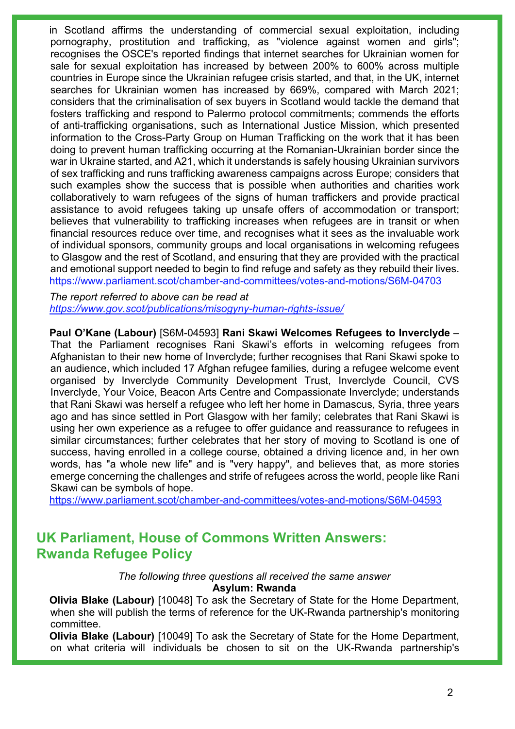in Scotland affirms the understanding of commercial sexual exploitation, including pornography, prostitution and trafficking, as "violence against women and girls"; recognises the OSCE's reported findings that internet searches for Ukrainian women for sale for sexual exploitation has increased by between 200% to 600% across multiple countries in Europe since the Ukrainian refugee crisis started, and that, in the UK, internet searches for Ukrainian women has increased by 669%, compared with March 2021; considers that the criminalisation of sex buyers in Scotland would tackle the demand that fosters trafficking and respond to Palermo protocol commitments; commends the efforts of anti-trafficking organisations, such as International Justice Mission, which presented information to the Cross-Party Group on Human Trafficking on the work that it has been doing to prevent human trafficking occurring at the Romanian-Ukrainian border since the war in Ukraine started, and A21, which it understands is safely housing Ukrainian survivors of sex trafficking and runs trafficking awareness campaigns across Europe; considers that such examples show the success that is possible when authorities and charities work collaboratively to warn refugees of the signs of human traffickers and provide practical assistance to avoid refugees taking up unsafe offers of accommodation or transport; believes that vulnerability to trafficking increases when refugees are in transit or when financial resources reduce over time, and recognises what it sees as the invaluable work of individual sponsors, community groups and local organisations in welcoming refugees to Glasgow and the rest of Scotland, and ensuring that they are provided with the practical and emotional support needed to begin to find refuge and safety as they rebuild their lives. <https://www.parliament.scot/chamber-and-committees/votes-and-motions/S6M-04703>

*The report referred to above can be read at <https://www.gov.scot/publications/misogyny-human-rights-issue/>*

**Paul O'Kane (Labour)** [S6M-04593] **Rani Skawi Welcomes Refugees to Inverclyde** – That the Parliament recognises Rani Skawi's efforts in welcoming refugees from Afghanistan to their new home of Inverclyde; further recognises that Rani Skawi spoke to an audience, which included 17 Afghan refugee families, during a refugee welcome event organised by Inverclyde Community Development Trust, Inverclyde Council, CVS Inverclyde, Your Voice, Beacon Arts Centre and Compassionate Inverclyde; understands that Rani Skawi was herself a refugee who left her home in Damascus, Syria, three years ago and has since settled in Port Glasgow with her family; celebrates that Rani Skawi is using her own experience as a refugee to offer guidance and reassurance to refugees in similar circumstances; further celebrates that her story of moving to Scotland is one of success, having enrolled in a college course, obtained a driving licence and, in her own words, has "a whole new life" and is "very happy", and believes that, as more stories emerge concerning the challenges and strife of refugees across the world, people like Rani Skawi can be symbols of hope.

<https://www.parliament.scot/chamber-and-committees/votes-and-motions/S6M-04593>

## **UK Parliament, House of Commons Written Answers: Rwanda Refugee Policy**

*The following three questions all received the same answer* **Asylum: Rwanda**

**Olivia Blake (Labour)** [10048] To ask the Secretary of State for the Home Department, when she will publish the terms of reference for the UK-Rwanda partnership's monitoring committee.

**Olivia Blake (Labour)** [10049] To ask the Secretary of State for the Home Department, on what criteria will individuals be chosen to sit on the UK-Rwanda partnership's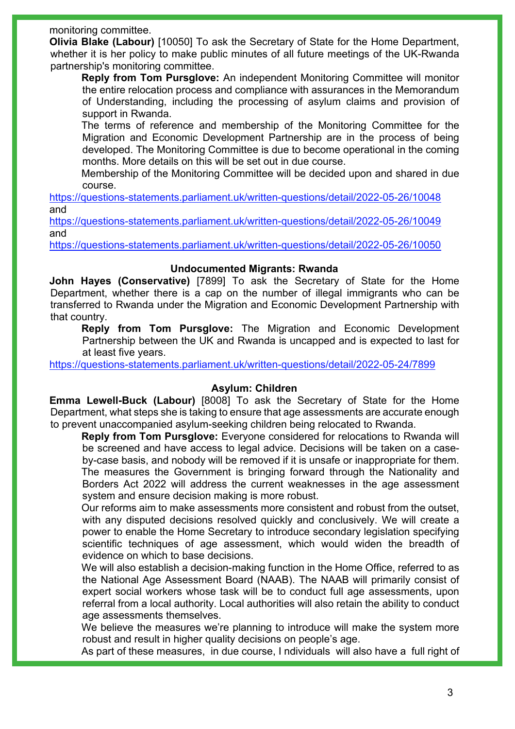#### monitoring committee.

**Olivia Blake (Labour)** [10050] To ask the Secretary of State for the Home Department, whether it is her policy to make public minutes of all future meetings of the UK-Rwanda partnership's monitoring committee.

**Reply from Tom Pursglove:** An independent Monitoring Committee will monitor the entire relocation process and compliance with assurances in the Memorandum of Understanding, including the processing of asylum claims and provision of support in Rwanda.

The terms of reference and membership of the Monitoring Committee for the Migration and Economic Development Partnership are in the process of being developed. The Monitoring Committee is due to become operational in the coming months. More details on this will be set out in due course.

Membership of the Monitoring Committee will be decided upon and shared in due course.

<https://questions-statements.parliament.uk/written-questions/detail/2022-05-26/10048> and

<https://questions-statements.parliament.uk/written-questions/detail/2022-05-26/10049> and

<https://questions-statements.parliament.uk/written-questions/detail/2022-05-26/10050>

#### **Undocumented Migrants: Rwanda**

**John Hayes (Conservative)** [7899] To ask the Secretary of State for the Home Department, whether there is a cap on the number of illegal immigrants who can be transferred to Rwanda under the Migration and Economic Development Partnership with that country.

**Reply from Tom Pursglove:** The Migration and Economic Development Partnership between the UK and Rwanda is uncapped and is expected to last for at least five years.

<https://questions-statements.parliament.uk/written-questions/detail/2022-05-24/7899>

### **Asylum: Children**

**Emma Lewell-Buck (Labour)** [8008] To ask the Secretary of State for the Home Department, what steps she is taking to ensure that age assessments are accurate enough to prevent unaccompanied asylum-seeking children being relocated to Rwanda.

**Reply from Tom Pursglove:** Everyone considered for relocations to Rwanda will be screened and have access to legal advice. Decisions will be taken on a caseby-case basis, and nobody will be removed if it is unsafe or inappropriate for them. The measures the Government is bringing forward through the Nationality and Borders Act 2022 will address the current weaknesses in the age assessment system and ensure decision making is more robust.

Our reforms aim to make assessments more consistent and robust from the outset, with any disputed decisions resolved quickly and conclusively. We will create a power to enable the Home Secretary to introduce secondary legislation specifying scientific techniques of age assessment, which would widen the breadth of evidence on which to base decisions.

We will also establish a decision-making function in the Home Office, referred to as the National Age Assessment Board (NAAB). The NAAB will primarily consist of expert social workers whose task will be to conduct full age assessments, upon referral from a local authority. Local authorities will also retain the ability to conduct age assessments themselves.

We believe the measures we're planning to introduce will make the system more robust and result in higher quality decisions on people's age.

As part of these measures, in due course, I ndividuals will also have a full right of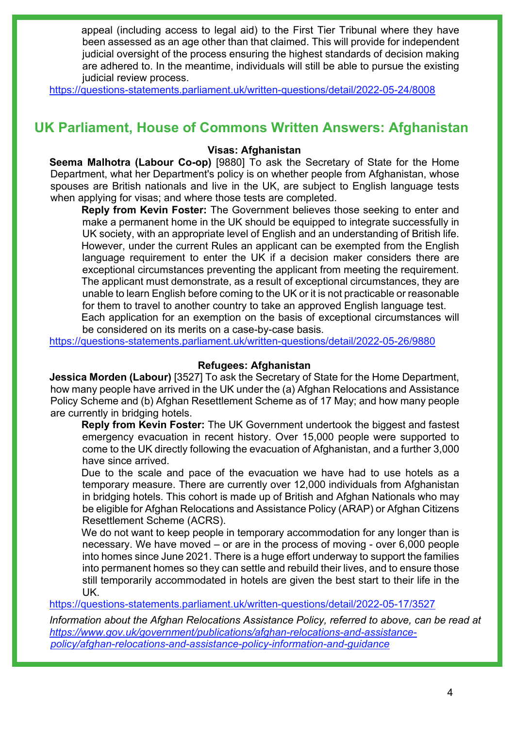appeal (including access to legal aid) to the First Tier Tribunal where they have been assessed as an age other than that claimed. This will provide for independent judicial oversight of the process ensuring the highest standards of decision making are adhered to. In the meantime, individuals will still be able to pursue the existing judicial review process.

<https://questions-statements.parliament.uk/written-questions/detail/2022-05-24/8008>

## **UK Parliament, House of Commons Written Answers: Afghanistan**

#### **Visas: Afghanistan**

**Seema Malhotra (Labour Co-op)** [9880] To ask the Secretary of State for the Home Department, what her Department's policy is on whether people from Afghanistan, whose spouses are British nationals and live in the UK, are subject to English language tests when applying for visas; and where those tests are completed.

**Reply from Kevin Foster:** The Government believes those seeking to enter and make a permanent home in the UK should be equipped to integrate successfully in UK society, with an appropriate level of English and an understanding of British life. However, under the current Rules an applicant can be exempted from the English language requirement to enter the UK if a decision maker considers there are exceptional circumstances preventing the applicant from meeting the requirement. The applicant must demonstrate, as a result of exceptional circumstances, they are unable to learn English before coming to the UK or it is not practicable or reasonable for them to travel to another country to take an approved English language test.

Each application for an exemption on the basis of exceptional circumstances will be considered on its merits on a case-by-case basis.

<https://questions-statements.parliament.uk/written-questions/detail/2022-05-26/9880>

#### **Refugees: Afghanistan**

**Jessica Morden (Labour)** [3527] To ask the Secretary of State for the Home Department, how many people have arrived in the UK under the (a) Afghan Relocations and Assistance Policy Scheme and (b) Afghan Resettlement Scheme as of 17 May; and how many people are currently in bridging hotels.

**Reply from Kevin Foster:** The UK Government undertook the biggest and fastest emergency evacuation in recent history. Over 15,000 people were supported to come to the UK directly following the evacuation of Afghanistan, and a further 3,000 have since arrived.

Due to the scale and pace of the evacuation we have had to use hotels as a temporary measure. There are currently over 12,000 individuals from Afghanistan in bridging hotels. This cohort is made up of British and Afghan Nationals who may be eligible for Afghan Relocations and Assistance Policy (ARAP) or Afghan Citizens Resettlement Scheme (ACRS).

We do not want to keep people in temporary accommodation for any longer than is necessary. We have moved – or are in the process of moving - over 6,000 people into homes since June 2021. There is a huge effort underway to support the families into permanent homes so they can settle and rebuild their lives, and to ensure those still temporarily accommodated in hotels are given the best start to their life in the UK.

<https://questions-statements.parliament.uk/written-questions/detail/2022-05-17/3527>

*Information about the Afghan Relocations Assistance Policy, referred to above, can be read at [https://www.gov.uk/government/publications/afghan-relocations-and-assistance](https://www.gov.uk/government/publications/afghan-relocations-and-assistance-policy/afghan-relocations-and-assistance-policy-information-and-guidance)[policy/afghan-relocations-and-assistance-policy-information-and-guidance](https://www.gov.uk/government/publications/afghan-relocations-and-assistance-policy/afghan-relocations-and-assistance-policy-information-and-guidance)*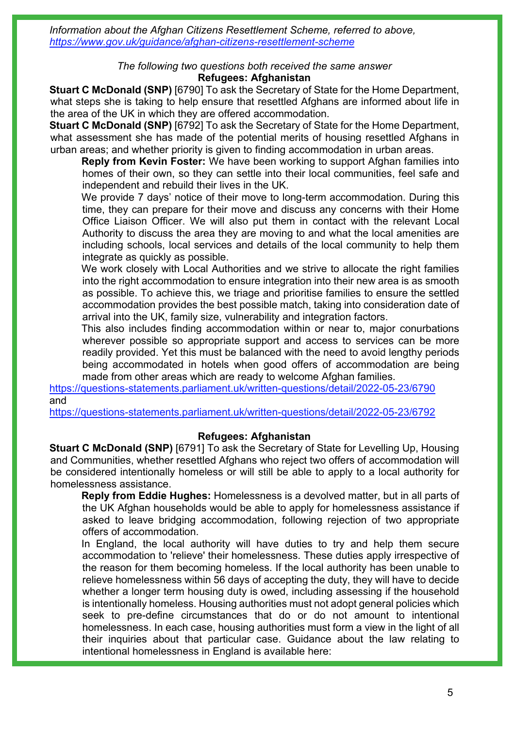*Information about the Afghan Citizens Resettlement Scheme, referred to above, <https://www.gov.uk/guidance/afghan-citizens-resettlement-scheme>*

> *The following two questions both received the same answer* **Refugees: Afghanistan**

**Stuart C McDonald (SNP)** [6790] To ask the Secretary of State for the Home Department, what steps she is taking to help ensure that resettled Afghans are informed about life in the area of the UK in which they are offered accommodation.

**Stuart C McDonald (SNP)** [6792] To ask the Secretary of State for the Home Department, what assessment she has made of the potential merits of housing resettled Afghans in urban areas; and whether priority is given to finding accommodation in urban areas.

**Reply from Kevin Foster:** We have been working to support Afghan families into homes of their own, so they can settle into their local communities, feel safe and independent and rebuild their lives in the UK.

We provide 7 days' notice of their move to long-term accommodation. During this time, they can prepare for their move and discuss any concerns with their Home Office Liaison Officer. We will also put them in contact with the relevant Local Authority to discuss the area they are moving to and what the local amenities are including schools, local services and details of the local community to help them integrate as quickly as possible.

We work closely with Local Authorities and we strive to allocate the right families into the right accommodation to ensure integration into their new area is as smooth as possible. To achieve this, we triage and prioritise families to ensure the settled accommodation provides the best possible match, taking into consideration date of arrival into the UK, family size, vulnerability and integration factors.

This also includes finding accommodation within or near to, major conurbations wherever possible so appropriate support and access to services can be more readily provided. Yet this must be balanced with the need to avoid lengthy periods being accommodated in hotels when good offers of accommodation are being made from other areas which are ready to welcome Afghan families.

<https://questions-statements.parliament.uk/written-questions/detail/2022-05-23/6790> and

<https://questions-statements.parliament.uk/written-questions/detail/2022-05-23/6792>

### **Refugees: Afghanistan**

**Stuart C McDonald (SNP)** [6791] To ask the Secretary of State for Levelling Up, Housing and Communities, whether resettled Afghans who reject two offers of accommodation will be considered intentionally homeless or will still be able to apply to a local authority for homelessness assistance.

**Reply from Eddie Hughes:** Homelessness is a devolved matter, but in all parts of the UK Afghan households would be able to apply for homelessness assistance if asked to leave bridging accommodation, following rejection of two appropriate offers of accommodation.

In England, the local authority will have duties to try and help them secure accommodation to 'relieve' their homelessness. These duties apply irrespective of the reason for them becoming homeless. If the local authority has been unable to relieve homelessness within 56 days of accepting the duty, they will have to decide whether a longer term housing duty is owed, including assessing if the household is intentionally homeless. Housing authorities must not adopt general policies which seek to pre-define circumstances that do or do not amount to intentional homelessness. In each case, housing authorities must form a view in the light of all their inquiries about that particular case. Guidance about the law relating to intentional homelessness in England is available here: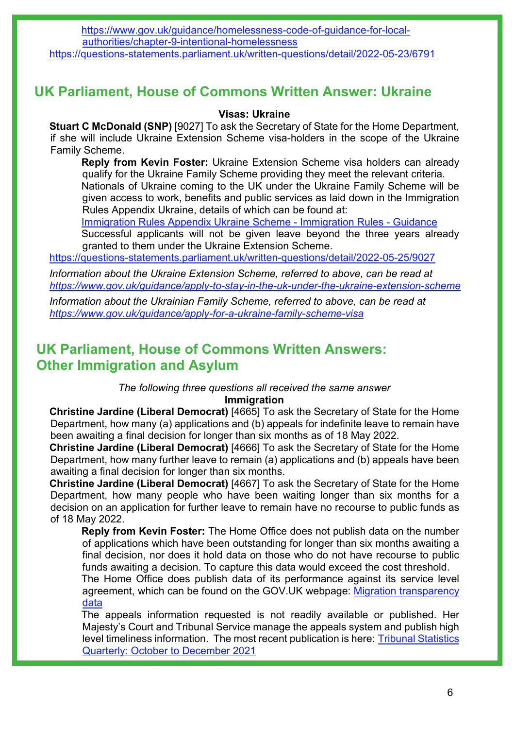[https://www.gov.uk/guidance/homelessness-code-of-guidance-for-local](https://www.gov.uk/guidance/homelessness-code-of-guidance-for-local-authorities/chapter-9-intentional-homelessness)[authorities/chapter-9-intentional-homelessness](https://www.gov.uk/guidance/homelessness-code-of-guidance-for-local-authorities/chapter-9-intentional-homelessness) 

<https://questions-statements.parliament.uk/written-questions/detail/2022-05-23/6791>

## **UK Parliament, House of Commons Written Answer: Ukraine**

## **Visas: Ukraine**

**Stuart C McDonald (SNP)** [9027] To ask the Secretary of State for the Home Department, if she will include Ukraine Extension Scheme visa-holders in the scope of the Ukraine Family Scheme.

**Reply from Kevin Foster:** Ukraine Extension Scheme visa holders can already qualify for the Ukraine Family Scheme providing they meet the relevant criteria.

Nationals of Ukraine coming to the UK under the Ukraine Family Scheme will be given access to work, benefits and public services as laid down in the Immigration Rules Appendix Ukraine, details of which can be found at:

[Immigration Rules Appendix Ukraine Scheme - Immigration Rules - Guidance](https://www.gov.uk/guidance/immigration-rules/immigration-rules-appendix-ukraine-scheme?msclkid=6ffc5ee6b57e11eca218cf61d0cbedaf)

Successful applicants will not be given leave beyond the three years already granted to them under the Ukraine Extension Scheme.

<https://questions-statements.parliament.uk/written-questions/detail/2022-05-25/9027>

*Information about the Ukraine Extension Scheme, referred to above, can be read at <https://www.gov.uk/guidance/apply-to-stay-in-the-uk-under-the-ukraine-extension-scheme>*

*Information about the Ukrainian Family Scheme, referred to above, can be read at <https://www.gov.uk/guidance/apply-for-a-ukraine-family-scheme-visa>*

## **UK Parliament, House of Commons Written Answers: Other Immigration and Asylum**

*The following three questions all received the same answer* **Immigration**

**Christine Jardine (Liberal Democrat)** [4665] To ask the Secretary of State for the Home Department, how many (a) applications and (b) appeals for indefinite leave to remain have been awaiting a final decision for longer than six months as of 18 May 2022.

**Christine Jardine (Liberal Democrat)** [4666] To ask the Secretary of State for the Home Department, how many further leave to remain (a) applications and (b) appeals have been awaiting a final decision for longer than six months.

**Christine Jardine (Liberal Democrat)** [4667] To ask the Secretary of State for the Home Department, how many people who have been waiting longer than six months for a decision on an application for further leave to remain have no recourse to public funds as of 18 May 2022.

**Reply from Kevin Foster:** The Home Office does not publish data on the number of applications which have been outstanding for longer than six months awaiting a final decision, nor does it hold data on those who do not have recourse to public funds awaiting a decision. To capture this data would exceed the cost threshold.

The Home Office does publish data of its performance against its service level agreement, which can be found on the GOV.UK webpage: [Migration transparency](https://www.gov.uk/government/collections/migration-transparency-data)  [data](https://www.gov.uk/government/collections/migration-transparency-data) 

The appeals information requested is not readily available or published. Her Majesty's Court and Tribunal Service manage the appeals system and publish high level timeliness information. The most recent publication is here: [Tribunal Statistics](https://www.gov.uk/government/statistics/tribunal-statistics-quarterly-october-to-december-2021/tribunal-statistics-quarterly-october-to-december-2021)  [Quarterly: October to December 2021](https://www.gov.uk/government/statistics/tribunal-statistics-quarterly-october-to-december-2021/tribunal-statistics-quarterly-october-to-december-2021)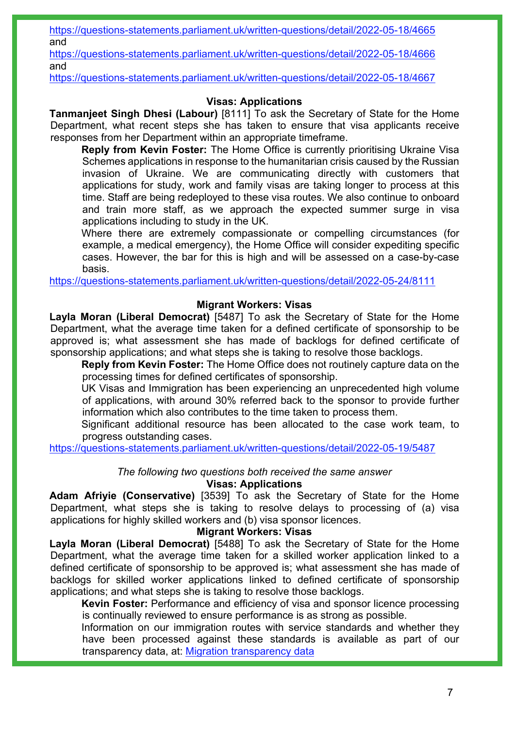<https://questions-statements.parliament.uk/written-questions/detail/2022-05-18/4665> and

<https://questions-statements.parliament.uk/written-questions/detail/2022-05-18/4666> and

<https://questions-statements.parliament.uk/written-questions/detail/2022-05-18/4667>

## **Visas: Applications**

**Tanmanjeet Singh Dhesi (Labour)** [8111] To ask the Secretary of State for the Home Department, what recent steps she has taken to ensure that visa applicants receive responses from her Department within an appropriate timeframe.

**Reply from Kevin Foster:** The Home Office is currently prioritising Ukraine Visa Schemes applications in response to the humanitarian crisis caused by the Russian invasion of Ukraine. We are communicating directly with customers that applications for study, work and family visas are taking longer to process at this time. Staff are being redeployed to these visa routes. We also continue to onboard and train more staff, as we approach the expected summer surge in visa applications including to study in the UK.

Where there are extremely compassionate or compelling circumstances (for example, a medical emergency), the Home Office will consider expediting specific cases. However, the bar for this is high and will be assessed on a case-by-case basis.

<https://questions-statements.parliament.uk/written-questions/detail/2022-05-24/8111>

## **Migrant Workers: Visas**

**Layla Moran (Liberal Democrat)** [5487] To ask the Secretary of State for the Home Department, what the average time taken for a defined certificate of sponsorship to be approved is; what assessment she has made of backlogs for defined certificate of sponsorship applications; and what steps she is taking to resolve those backlogs.

**Reply from Kevin Foster:** The Home Office does not routinely capture data on the processing times for defined certificates of sponsorship.

UK Visas and Immigration has been experiencing an unprecedented high volume of applications, with around 30% referred back to the sponsor to provide further information which also contributes to the time taken to process them.

Significant additional resource has been allocated to the case work team, to progress outstanding cases.

<https://questions-statements.parliament.uk/written-questions/detail/2022-05-19/5487>

## *The following two questions both received the same answer*

## **Visas: Applications**

**Adam Afriyie (Conservative)** [3539] To ask the Secretary of State for the Home Department, what steps she is taking to resolve delays to processing of (a) visa applications for highly skilled workers and (b) visa sponsor licences.

## **Migrant Workers: Visas**

**Layla Moran (Liberal Democrat)** [5488] To ask the Secretary of State for the Home Department, what the average time taken for a skilled worker application linked to a defined certificate of sponsorship to be approved is; what assessment she has made of backlogs for skilled worker applications linked to defined certificate of sponsorship applications; and what steps she is taking to resolve those backlogs.

**Kevin Foster:** Performance and efficiency of visa and sponsor licence processing is continually reviewed to ensure performance is as strong as possible.

Information on our immigration routes with service standards and whether they have been processed against these standards is available as part of our transparency data, at: [Migration transparency data](https://gbr01.safelinks.protection.outlook.com/?url=https%3A%2F%2Fwww.gov.uk%2Fgovernment%2Fcollections%2Fmigration-transparency-data%23uk-visas-and-immigration&data=05%7C01%7CSheffieldWorkRoutes.PQandFOI%40homeoffice.gov.uk%7Cecb21d2af069447f81f608da3a3e6366%7Cf24d93ecb2914192a08af182245945c2%7C0%7C0%7C637886336862331652%7CUnknown%7CTWFpbGZsb3d8eyJWIjoiMC4wLjAwMDAiLCJQIjoiV2luMzIiLCJBTiI6Ik1haWwiLCJXVCI6Mn0%3D%7C3000%7C%7C%7C&sdata=P5uGASKneV3b1%2Fxi7zhWYBmeNpLdNZM3wHQx3%2BfhdDw%3D&reserved=0)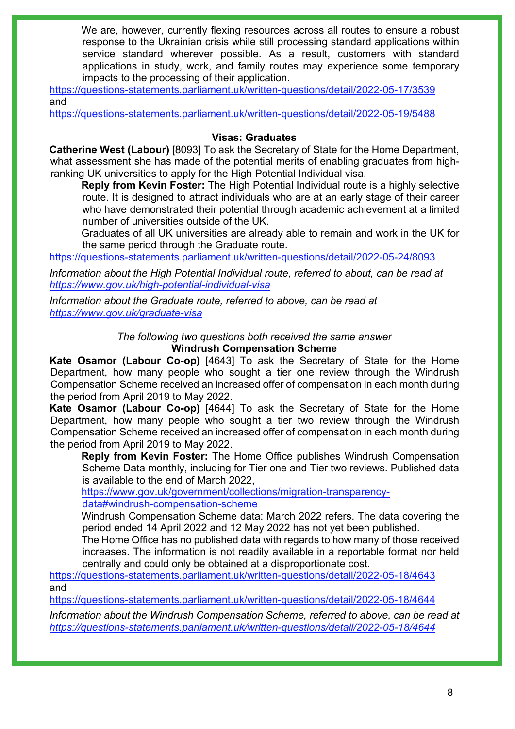We are, however, currently flexing resources across all routes to ensure a robust response to the Ukrainian crisis while still processing standard applications within service standard wherever possible. As a result, customers with standard applications in study, work, and family routes may experience some temporary impacts to the processing of their application.

<https://questions-statements.parliament.uk/written-questions/detail/2022-05-17/3539> and

<https://questions-statements.parliament.uk/written-questions/detail/2022-05-19/5488>

### **Visas: Graduates**

**Catherine West (Labour)** [8093] To ask the Secretary of State for the Home Department, what assessment she has made of the potential merits of enabling graduates from highranking UK universities to apply for the High Potential Individual visa.

**Reply from Kevin Foster:** The High Potential Individual route is a highly selective route. It is designed to attract individuals who are at an early stage of their career who have demonstrated their potential through academic achievement at a limited number of universities outside of the UK.

Graduates of all UK universities are already able to remain and work in the UK for the same period through the Graduate route.

<https://questions-statements.parliament.uk/written-questions/detail/2022-05-24/8093>

*Information about the High Potential Individual route, referred to about, can be read at <https://www.gov.uk/high-potential-individual-visa>*

*Information about the Graduate route, referred to above, can be read at <https://www.gov.uk/graduate-visa>*

> *The following two questions both received the same answer* **Windrush Compensation Scheme**

**Kate Osamor (Labour Co-op)** [4643] To ask the Secretary of State for the Home Department, how many people who sought a tier one review through the Windrush Compensation Scheme received an increased offer of compensation in each month during the period from April 2019 to May 2022.

**Kate Osamor (Labour Co-op)** [4644] To ask the Secretary of State for the Home Department, how many people who sought a tier two review through the Windrush Compensation Scheme received an increased offer of compensation in each month during the period from April 2019 to May 2022.

**Reply from Kevin Foster:** The Home Office publishes Windrush Compensation Scheme Data monthly, including for Tier one and Tier two reviews. Published data is available to the end of March 2022,

[https://www.gov.uk/government/collections/migration-transparency](https://www.gov.uk/government/collections/migration-transparency-data#windrush-compensation-scheme)[data#windrush-compensation-scheme](https://www.gov.uk/government/collections/migration-transparency-data#windrush-compensation-scheme) 

Windrush Compensation Scheme data: March 2022 refers. The data covering the period ended 14 April 2022 and 12 May 2022 has not yet been published.

The Home Office has no published data with regards to how many of those received increases. The information is not readily available in a reportable format nor held centrally and could only be obtained at a disproportionate cost.

<https://questions-statements.parliament.uk/written-questions/detail/2022-05-18/4643> and

<https://questions-statements.parliament.uk/written-questions/detail/2022-05-18/4644>

*Information about the Windrush Compensation Scheme, referred to above, can be read at <https://questions-statements.parliament.uk/written-questions/detail/2022-05-18/4644>*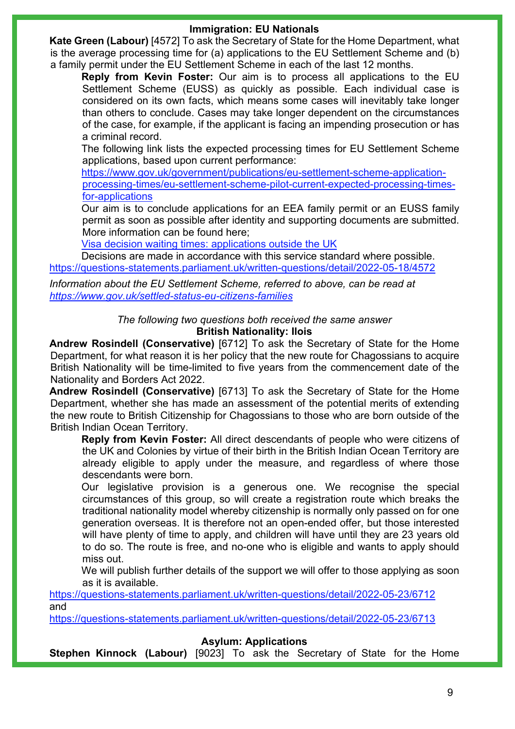### **Immigration: EU Nationals**

**Kate Green (Labour)** [4572] To ask the Secretary of State for the Home Department, what is the average processing time for (a) applications to the EU Settlement Scheme and (b) a family permit under the EU Settlement Scheme in each of the last 12 months.

**Reply from Kevin Foster:** Our aim is to process all applications to the EU Settlement Scheme (EUSS) as quickly as possible. Each individual case is considered on its own facts, which means some cases will inevitably take longer than others to conclude. Cases may take longer dependent on the circumstances of the case, for example, if the applicant is facing an impending prosecution or has a criminal record.

The following link lists the expected processing times for EU Settlement Scheme applications, based upon current performance:

[https://www.gov.uk/government/publications/eu-settlement-scheme-application](https://www.gov.uk/government/publications/eu-settlement-scheme-application-processing-times/eu-settlement-scheme-pilot-current-expected-processing-times-for-applications)[processing-times/eu-settlement-scheme-pilot-current-expected-processing-times](https://www.gov.uk/government/publications/eu-settlement-scheme-application-processing-times/eu-settlement-scheme-pilot-current-expected-processing-times-for-applications)[for-applications](https://www.gov.uk/government/publications/eu-settlement-scheme-application-processing-times/eu-settlement-scheme-pilot-current-expected-processing-times-for-applications) 

Our aim is to conclude applications for an EEA family permit or an EUSS family permit as soon as possible after identity and supporting documents are submitted. More information can be found here;

[Visa decision waiting times: applications outside the UK](https://www.gov.uk/guidance/visa-decision-waiting-times-applications-outside-the-uk)

Decisions are made in accordance with this service standard where possible. <https://questions-statements.parliament.uk/written-questions/detail/2022-05-18/4572>

*Information about the EU Settlement Scheme, referred to above, can be read at <https://www.gov.uk/settled-status-eu-citizens-families>*

### *The following two questions both received the same answer* **British Nationality: Ilois**

**Andrew Rosindell (Conservative)** [6712] To ask the Secretary of State for the Home Department, for what reason it is her policy that the new route for Chagossians to acquire British Nationality will be time-limited to five years from the commencement date of the Nationality and Borders Act 2022.

**Andrew Rosindell (Conservative)** [6713] To ask the Secretary of State for the Home Department, whether she has made an assessment of the potential merits of extending the new route to British Citizenship for Chagossians to those who are born outside of the British Indian Ocean Territory.

**Reply from Kevin Foster:** All direct descendants of people who were citizens of the UK and Colonies by virtue of their birth in the British Indian Ocean Territory are already eligible to apply under the measure, and regardless of where those descendants were born.

Our legislative provision is a generous one. We recognise the special circumstances of this group, so will create a registration route which breaks the traditional nationality model whereby citizenship is normally only passed on for one generation overseas. It is therefore not an open-ended offer, but those interested will have plenty of time to apply, and children will have until they are 23 years old to do so. The route is free, and no-one who is eligible and wants to apply should miss out.

We will publish further details of the support we will offer to those applying as soon as it is available.

<https://questions-statements.parliament.uk/written-questions/detail/2022-05-23/6712> and

<https://questions-statements.parliament.uk/written-questions/detail/2022-05-23/6713>

**Asylum: Applications**

**Stephen Kinnock (Labour)** [9023] To ask the Secretary of State for the Home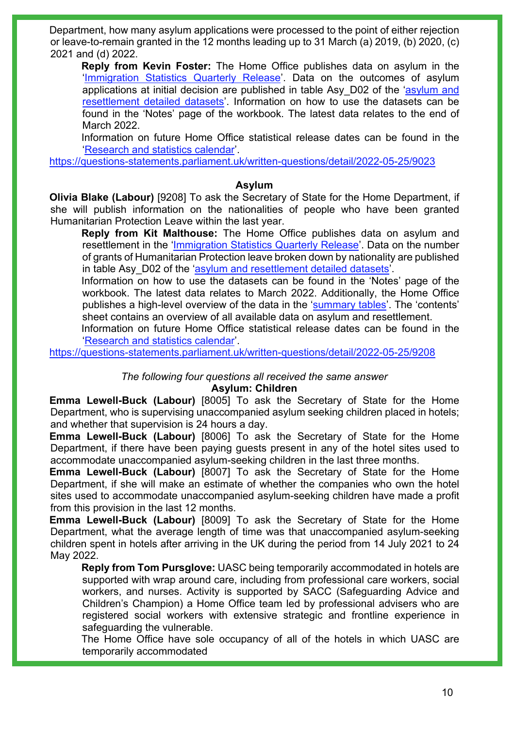Department, how many asylum applications were processed to the point of either rejection or leave-to-remain granted in the 12 months leading up to 31 March (a) 2019, (b) 2020, (c) 2021 and (d) 2022.

**Reply from Kevin Foster:** The Home Office publishes data on asylum in the ['Immigration Statistics Quarterly Release'](https://www.gov.uk/government/collections/immigration-statistics-quarterly-release). Data on the outcomes of asylum applications at initial decision are published in table Asy D02 of the 'asylum and [resettlement detailed datasets'](https://www.gov.uk/government/statistical-data-sets/asylum-and-resettlement-datasets#asylum-applications-decisions-and-resettlement). Information on how to use the datasets can be found in the 'Notes' page of the workbook. The latest data relates to the end of March 2022.

Information on future Home Office statistical release dates can be found in the ['Research and statistics calendar'](https://www.gov.uk/search/research-and-statistics?keywords=immigration&content_store_document_type=upcoming_statistics&organisations%5B%5D=home-office&order=relevance).

<https://questions-statements.parliament.uk/written-questions/detail/2022-05-25/9023>

## **Asylum**

**Olivia Blake (Labour)** [9208] To ask the Secretary of State for the Home Department, if she will publish information on the nationalities of people who have been granted Humanitarian Protection Leave within the last year.

**Reply from Kit Malthouse:** The Home Office publishes data on asylum and resettlement in the ['Immigration Statistics Quarterly Release'](https://www.gov.uk/government/collections/immigration-statistics-quarterly-release). Data on the number of grants of Humanitarian Protection leave broken down by nationality are published in table Asy D02 of the ['asylum and resettlement detailed datasets'](https://www.gov.uk/government/statistical-data-sets/asylum-and-resettlement-datasets).

Information on how to use the datasets can be found in the 'Notes' page of the workbook. The latest data relates to March 2022. Additionally, the Home Office publishes a high-level overview of the data in the ['summary tables'](https://assets.publishing.service.gov.uk/government/uploads/system/uploads/attachment_data/file/1076142/asylum-summary-mar-2022-tables.ods). The 'contents' sheet contains an overview of all available data on asylum and resettlement.

Information on future Home Office statistical release dates can be found in the ['Research and statistics calendar'](https://www.gov.uk/search/research-and-statistics?keywords=immigration&content_store_document_type=upcoming_statistics&organisations%5B%5D=home-office&order=relevance).

<https://questions-statements.parliament.uk/written-questions/detail/2022-05-25/9208>

*The following four questions all received the same answer*

#### **Asylum: Children**

**Emma Lewell-Buck (Labour)** [8005] To ask the Secretary of State for the Home Department, who is supervising unaccompanied asylum seeking children placed in hotels; and whether that supervision is 24 hours a day.

**Emma Lewell-Buck (Labour)** [8006] To ask the Secretary of State for the Home Department, if there have been paying guests present in any of the hotel sites used to accommodate unaccompanied asylum-seeking children in the last three months.

**Emma Lewell-Buck (Labour)** [8007] To ask the Secretary of State for the Home Department, if she will make an estimate of whether the companies who own the hotel sites used to accommodate unaccompanied asylum-seeking children have made a profit from this provision in the last 12 months.

**Emma Lewell-Buck (Labour)** [8009] To ask the Secretary of State for the Home Department, what the average length of time was that unaccompanied asylum-seeking children spent in hotels after arriving in the UK during the period from 14 July 2021 to 24 May 2022.

**Reply from Tom Pursglove:** UASC being temporarily accommodated in hotels are supported with wrap around care, including from professional care workers, social workers, and nurses. Activity is supported by SACC (Safeguarding Advice and Children's Champion) a Home Office team led by professional advisers who are registered social workers with extensive strategic and frontline experience in safeguarding the vulnerable.

The Home Office have sole occupancy of all of the hotels in which UASC are temporarily accommodated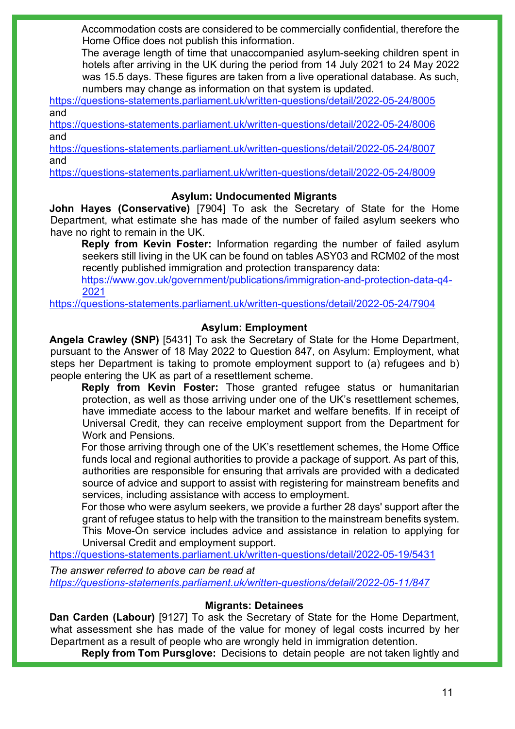Accommodation costs are considered to be commercially confidential, therefore the Home Office does not publish this information.

The average length of time that unaccompanied asylum-seeking children spent in hotels after arriving in the UK during the period from 14 July 2021 to 24 May 2022 was 15.5 days. These figures are taken from a live operational database. As such, numbers may change as information on that system is updated.

<https://questions-statements.parliament.uk/written-questions/detail/2022-05-24/8005> and

<https://questions-statements.parliament.uk/written-questions/detail/2022-05-24/8006> and

<https://questions-statements.parliament.uk/written-questions/detail/2022-05-24/8007> and

<https://questions-statements.parliament.uk/written-questions/detail/2022-05-24/8009>

### **Asylum: Undocumented Migrants**

**John Hayes (Conservative)** [7904] To ask the Secretary of State for the Home Department, what estimate she has made of the number of failed asylum seekers who have no right to remain in the UK.

**Reply from Kevin Foster:** Information regarding the number of failed asylum seekers still living in the UK can be found on tables ASY03 and RCM02 of the most recently published immigration and protection transparency data:

[https://www.gov.uk/government/publications/immigration-and-protection-data-q4-](https://www.gov.uk/government/publications/immigration-and-protection-data-q4-2021) [2021](https://www.gov.uk/government/publications/immigration-and-protection-data-q4-2021)

<https://questions-statements.parliament.uk/written-questions/detail/2022-05-24/7904>

## **Asylum: Employment**

**Angela Crawley (SNP)** [5431] To ask the Secretary of State for the Home Department, pursuant to the Answer of 18 May 2022 to Question 847, on Asylum: Employment, what steps her Department is taking to promote employment support to (a) refugees and b) people entering the UK as part of a resettlement scheme.

**Reply from Kevin Foster:** Those granted refugee status or humanitarian protection, as well as those arriving under one of the UK's resettlement schemes, have immediate access to the labour market and welfare benefits. If in receipt of Universal Credit, they can receive employment support from the Department for Work and Pensions.

For those arriving through one of the UK's resettlement schemes, the Home Office funds local and regional authorities to provide a package of support. As part of this, authorities are responsible for ensuring that arrivals are provided with a dedicated source of advice and support to assist with registering for mainstream benefits and services, including assistance with access to employment.

For those who were asylum seekers, we provide a further 28 days' support after the grant of refugee status to help with the transition to the mainstream benefits system. This Move-On service includes advice and assistance in relation to applying for Universal Credit and employment support.

<https://questions-statements.parliament.uk/written-questions/detail/2022-05-19/5431>

*The answer referred to above can be read at <https://questions-statements.parliament.uk/written-questions/detail/2022-05-11/847>*

#### **Migrants: Detainees**

**Dan Carden (Labour)** [9127] To ask the Secretary of State for the Home Department, what assessment she has made of the value for money of legal costs incurred by her Department as a result of people who are wrongly held in immigration detention.

**Reply from Tom Pursglove:** Decisions to detain people are not taken lightly and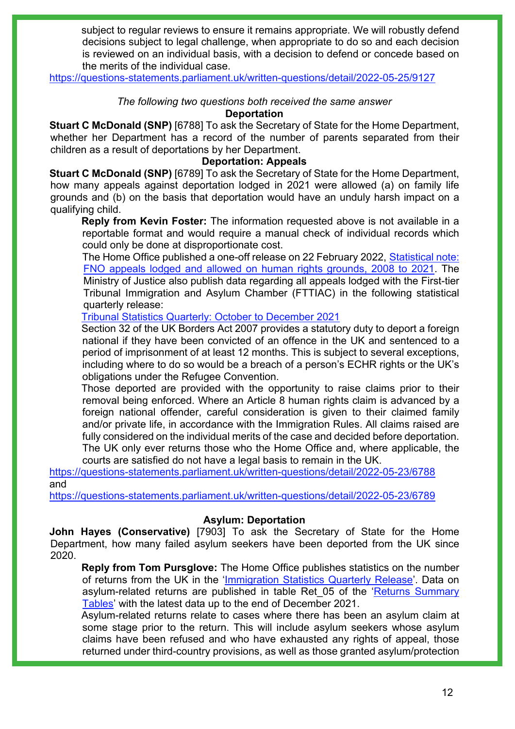subject to regular reviews to ensure it remains appropriate. We will robustly defend decisions subject to legal challenge, when appropriate to do so and each decision is reviewed on an individual basis, with a decision to defend or concede based on the merits of the individual case.

<https://questions-statements.parliament.uk/written-questions/detail/2022-05-25/9127>

### *The following two questions both received the same answer*

#### **Deportation**

**Stuart C McDonald (SNP)** [6788] To ask the Secretary of State for the Home Department, whether her Department has a record of the number of parents separated from their children as a result of deportations by her Department.

### **Deportation: Appeals**

**Stuart C McDonald (SNP)** [6789] To ask the Secretary of State for the Home Department, how many appeals against deportation lodged in 2021 were allowed (a) on family life grounds and (b) on the basis that deportation would have an unduly harsh impact on a qualifying child.

**Reply from Kevin Foster:** The information requested above is not available in a reportable format and would require a manual check of individual records which could only be done at disproportionate cost.

The Home Office published a one-off release on 22 February 2022, Statistical note: [FNO appeals lodged and allowed on human rights grounds, 2008 to 2021.](https://www.gov.uk/government/publications/foreign-national-offenders-appeals-on-human-rights-grounds-2008-to-2021/statistical-note-fno-appeals-lodged-and-allowed-on-human-rights-grounds-2008-to-2021#fn:3) The Ministry of Justice also publish data regarding all appeals lodged with the First-tier Tribunal Immigration and Asylum Chamber (FTTIAC) in the following statistical quarterly release:

[Tribunal Statistics Quarterly: October to December 2021](https://www.gov.uk/government/statistics/tribunal-statistics-quarterly-october-to-december-2021/tribunal-statistics-quarterly-october-to-december-2021)

Section 32 of the UK Borders Act 2007 provides a statutory duty to deport a foreign national if they have been convicted of an offence in the UK and sentenced to a period of imprisonment of at least 12 months. This is subject to several exceptions, including where to do so would be a breach of a person's ECHR rights or the UK's obligations under the Refugee Convention.

Those deported are provided with the opportunity to raise claims prior to their removal being enforced. Where an Article 8 human rights claim is advanced by a foreign national offender, careful consideration is given to their claimed family and/or private life, in accordance with the Immigration Rules. All claims raised are fully considered on the individual merits of the case and decided before deportation. The UK only ever returns those who the Home Office and, where applicable, the

courts are satisfied do not have a legal basis to remain in the UK. <https://questions-statements.parliament.uk/written-questions/detail/2022-05-23/6788>

and

<https://questions-statements.parliament.uk/written-questions/detail/2022-05-23/6789>

## **Asylum: Deportation**

**John Hayes (Conservative)** [7903] To ask the Secretary of State for the Home Department, how many failed asylum seekers have been deported from the UK since 2020.

**Reply from Tom Pursglove:** The Home Office publishes statistics on the number of returns from the UK in the ['Immigration Statistics Quarterly Release'](https://www.gov.uk/government/collections/immigration-statistics-quarterly-release). Data on asylum-related returns are published in table Ret 05 of the 'Returns Summary [Tables'](https://assets.publishing.service.gov.uk/government/uploads/system/uploads/attachment_data/file/1076153/returns-summary-mar-2022-tables.ods) with the latest data up to the end of December 2021.

Asylum-related returns relate to cases where there has been an asylum claim at some stage prior to the return. This will include asylum seekers whose asylum claims have been refused and who have exhausted any rights of appeal, those returned under third-country provisions, as well as those granted asylum/protection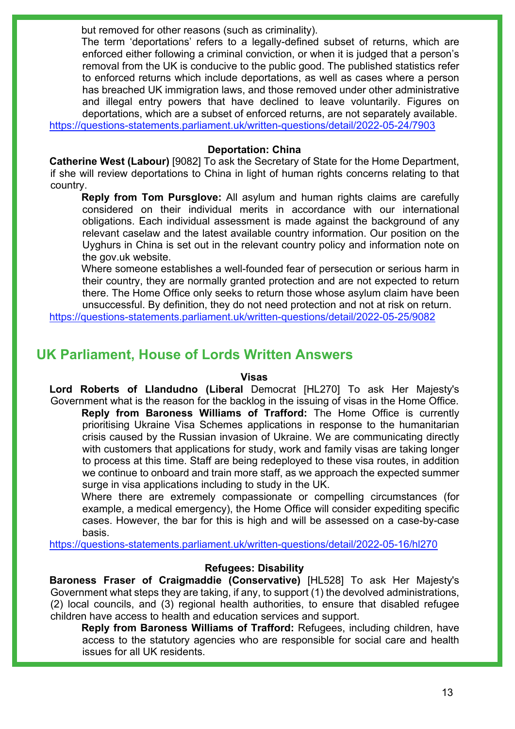but removed for other reasons (such as criminality).

The term 'deportations' refers to a legally-defined subset of returns, which are enforced either following a criminal conviction, or when it is judged that a person's removal from the UK is conducive to the public good. The published statistics refer to enforced returns which include deportations, as well as cases where a person has breached UK immigration laws, and those removed under other administrative and illegal entry powers that have declined to leave voluntarily. Figures on deportations, which are a subset of enforced returns, are not separately available. <https://questions-statements.parliament.uk/written-questions/detail/2022-05-24/7903>

### **Deportation: China**

**Catherine West (Labour)** [9082] To ask the Secretary of State for the Home Department, if she will review deportations to China in light of human rights concerns relating to that country.

**Reply from Tom Pursglove:** All asylum and human rights claims are carefully considered on their individual merits in accordance with our international obligations. Each individual assessment is made against the background of any relevant caselaw and the latest available country information. Our position on the Uyghurs in China is set out in the relevant country policy and information note on the gov.uk website.

Where someone establishes a well-founded fear of persecution or serious harm in their country, they are normally granted protection and are not expected to return there. The Home Office only seeks to return those whose asylum claim have been unsuccessful. By definition, they do not need protection and not at risk on return.

<https://questions-statements.parliament.uk/written-questions/detail/2022-05-25/9082>

## **UK Parliament, House of Lords Written Answers**

#### **Visas**

**Lord Roberts of Llandudno (Liberal** Democrat [HL270] To ask Her Majesty's Government what is the reason for the backlog in the issuing of visas in the Home Office. **Reply from Baroness Williams of Trafford:** The Home Office is currently prioritising Ukraine Visa Schemes applications in response to the humanitarian

crisis caused by the Russian invasion of Ukraine. We are communicating directly with customers that applications for study, work and family visas are taking longer to process at this time. Staff are being redeployed to these visa routes, in addition we continue to onboard and train more staff, as we approach the expected summer surge in visa applications including to study in the UK.

Where there are extremely compassionate or compelling circumstances (for example, a medical emergency), the Home Office will consider expediting specific cases. However, the bar for this is high and will be assessed on a case-by-case basis.

<https://questions-statements.parliament.uk/written-questions/detail/2022-05-16/hl270>

## **Refugees: Disability**

**Baroness Fraser of Craigmaddie (Conservative)** [HL528] To ask Her Majesty's Government what steps they are taking, if any, to support (1) the devolved administrations, (2) local councils, and (3) regional health authorities, to ensure that disabled refugee children have access to health and education services and support.

**Reply from Baroness Williams of Trafford:** Refugees, including children, have access to the statutory agencies who are responsible for social care and health issues for all UK residents.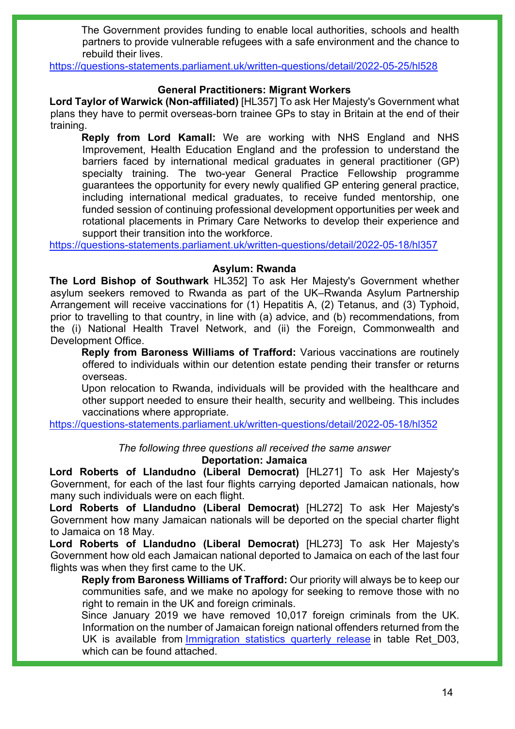The Government provides funding to enable local authorities, schools and health partners to provide vulnerable refugees with a safe environment and the chance to rebuild their lives.

<https://questions-statements.parliament.uk/written-questions/detail/2022-05-25/hl528>

### **General Practitioners: Migrant Workers**

**Lord Taylor of Warwick (Non-affiliated)** [HL357] To ask Her Majesty's Government what plans they have to permit overseas-born trainee GPs to stay in Britain at the end of their training.

**Reply from Lord Kamall:** We are working with NHS England and NHS Improvement, Health Education England and the profession to understand the barriers faced by international medical graduates in general practitioner (GP) specialty training. The two-year General Practice Fellowship programme guarantees the opportunity for every newly qualified GP entering general practice, including international medical graduates, to receive funded mentorship, one funded session of continuing professional development opportunities per week and rotational placements in Primary Care Networks to develop their experience and support their transition into the workforce.

<https://questions-statements.parliament.uk/written-questions/detail/2022-05-18/hl357>

### **Asylum: Rwanda**

**The Lord Bishop of Southwark** HL352] To ask Her Majesty's Government whether asylum seekers removed to Rwanda as part of the UK–Rwanda Asylum Partnership Arrangement will receive vaccinations for (1) Hepatitis A, (2) Tetanus, and (3) Typhoid, prior to travelling to that country, in line with (a) advice, and (b) recommendations, from the (i) National Health Travel Network, and (ii) the Foreign, Commonwealth and Development Office.

**Reply from Baroness Williams of Trafford:** Various vaccinations are routinely offered to individuals within our detention estate pending their transfer or returns overseas.

Upon relocation to Rwanda, individuals will be provided with the healthcare and other support needed to ensure their health, security and wellbeing. This includes vaccinations where appropriate.

<https://questions-statements.parliament.uk/written-questions/detail/2022-05-18/hl352>

*The following three questions all received the same answer*

## **Deportation: Jamaica**

**Lord Roberts of Llandudno (Liberal Democrat)** [HL271] To ask Her Majesty's Government, for each of the last four flights carrying deported Jamaican nationals, how many such individuals were on each flight.

**Lord Roberts of Llandudno (Liberal Democrat)** [HL272] To ask Her Majesty's Government how many Jamaican nationals will be deported on the special charter flight to Jamaica on 18 May.

**Lord Roberts of Llandudno (Liberal Democrat)** [HL273] To ask Her Majesty's Government how old each Jamaican national deported to Jamaica on each of the last four flights was when they first came to the UK.

**Reply from Baroness Williams of Trafford:** Our priority will always be to keep our communities safe, and we make no apology for seeking to remove those with no right to remain in the UK and foreign criminals.

Since January 2019 we have removed 10,017 foreign criminals from the UK. Information on the number of Jamaican foreign national offenders returned from the UK is available from Immigration [statistics quarterly release](https://gbr01.safelinks.protection.outlook.com/?url=https%3A%2F%2Fwww.gov.uk%2Fgovernment%2Fcollections%2Fimmigration-statistics-quarterly-release&data=05%7C01%7CLucy.Hudson1%40homeoffice.gov.uk%7C631b8deed5fc414f468308da42dd3afe%7Cf24d93ecb2914192a08af182245945c2%7C0%7C0%7C637895815184620184%7CUnknown%7CTWFpbGZsb3d8eyJWIjoiMC4wLjAwMDAiLCJQIjoiV2luMzIiLCJBTiI6Ik1haWwiLCJXVCI6Mn0%3D%7C3000%7C%7C%7C&sdata=VEjM1QwU8%2Bj6iScFWiVBJyid0t%2Bxovz0xmPcmfOSXH8%3D&reserved=0) in table Ret D03, which can be found attached.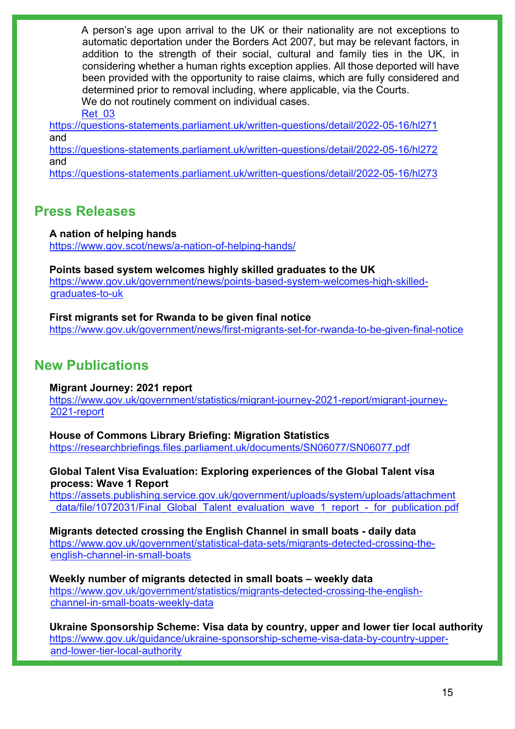A person's age upon arrival to the UK or their nationality are not exceptions to automatic deportation under the Borders Act 2007, but may be relevant factors, in addition to the strength of their social, cultural and family ties in the UK, in considering whether a human rights exception applies. All those deported will have been provided with the opportunity to raise claims, which are fully considered and determined prior to removal including, where applicable, via the Courts. We do not routinely comment on individual cases.

### [Ret\\_03](https://qna.files.parliament.uk/qna-attachments/1462922/original/returns-datasets-mar-2022%20(1).xlsx)

<https://questions-statements.parliament.uk/written-questions/detail/2022-05-16/hl271> and

<https://questions-statements.parliament.uk/written-questions/detail/2022-05-16/hl272> and

<https://questions-statements.parliament.uk/written-questions/detail/2022-05-16/hl273>

## **Press Releases**

## **A nation of helping hands**

<https://www.gov.scot/news/a-nation-of-helping-hands/>

**Points based system welcomes highly skilled graduates to the UK** [https://www.gov.uk/government/news/points-based-system-welcomes-high-skilled](https://www.gov.uk/government/news/points-based-system-welcomes-high-skilled-graduates-to-uk)[graduates-to-uk](https://www.gov.uk/government/news/points-based-system-welcomes-high-skilled-graduates-to-uk)

**First migrants set for Rwanda to be given final notice** <https://www.gov.uk/government/news/first-migrants-set-for-rwanda-to-be-given-final-notice>

## **New Publications**

**Migrant Journey: 2021 report**

[https://www.gov.uk/government/statistics/migrant-journey-2021-report/migrant-journey-](https://www.gov.uk/government/statistics/migrant-journey-2021-report/migrant-journey-2021-report)[2021-report](https://www.gov.uk/government/statistics/migrant-journey-2021-report/migrant-journey-2021-report)

**House of Commons Library Briefing: Migration Statistics** <https://researchbriefings.files.parliament.uk/documents/SN06077/SN06077.pdf>

**Global Talent Visa Evaluation: Exploring experiences of the Global Talent visa process: Wave 1 Report**

[https://assets.publishing.service.gov.uk/government/uploads/system/uploads/attachment](https://assets.publishing.service.gov.uk/government/uploads/system/uploads/attachment_data/file/1072031/Final_Global_Talent_evaluation_wave_1_report_-_for_publication.pdf) [\\_data/file/1072031/Final\\_Global\\_Talent\\_evaluation\\_wave\\_1\\_report\\_-\\_for\\_publication.pdf](https://assets.publishing.service.gov.uk/government/uploads/system/uploads/attachment_data/file/1072031/Final_Global_Talent_evaluation_wave_1_report_-_for_publication.pdf) 

**Migrants detected crossing the English Channel in small boats - daily data** [https://www.gov.uk/government/statistical-data-sets/migrants-detected-crossing-the](https://www.gov.uk/government/statistical-data-sets/migrants-detected-crossing-the-english-channel-in-small-boats)[english-channel-in-small-boats](https://www.gov.uk/government/statistical-data-sets/migrants-detected-crossing-the-english-channel-in-small-boats)

**Weekly number of migrants detected in small boats – weekly data** [https://www.gov.uk/government/statistics/migrants-detected-crossing-the-english](https://www.gov.uk/government/statistics/migrants-detected-crossing-the-english-channel-in-small-boats-weekly-data)[channel-in-small-boats-weekly-data](https://www.gov.uk/government/statistics/migrants-detected-crossing-the-english-channel-in-small-boats-weekly-data)

**Ukraine Sponsorship Scheme: Visa data by country, upper and lower tier local authority** [https://www.gov.uk/guidance/ukraine-sponsorship-scheme-visa-data-by-country-upper](https://www.gov.uk/guidance/ukraine-sponsorship-scheme-visa-data-by-country-upper-and-lower-tier-local-authority)[and-lower-tier-local-authority](https://www.gov.uk/guidance/ukraine-sponsorship-scheme-visa-data-by-country-upper-and-lower-tier-local-authority)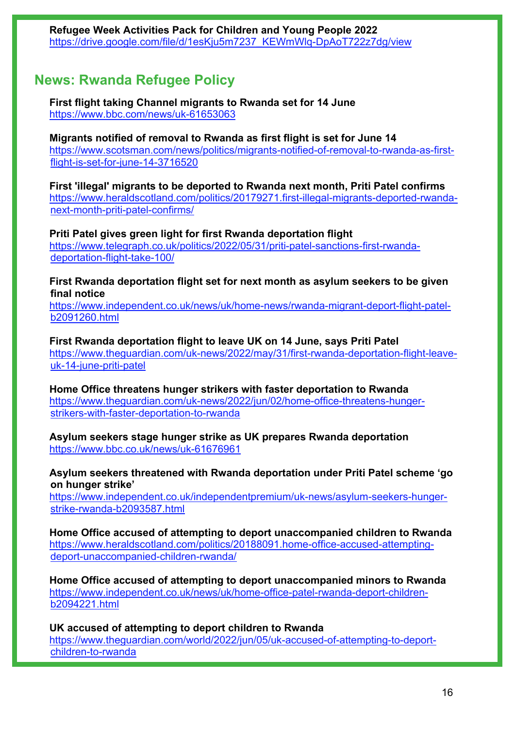## **News: Rwanda Refugee Policy**

**First flight taking Channel migrants to Rwanda set for 14 June** <https://www.bbc.com/news/uk-61653063>

**Migrants notified of removal to Rwanda as first flight is set for June 14** [https://www.scotsman.com/news/politics/migrants-notified-of-removal-to-rwanda-as-first](https://www.scotsman.com/news/politics/migrants-notified-of-removal-to-rwanda-as-first-flight-is-set-for-june-14-3716520)[flight-is-set-for-june-14-3716520](https://www.scotsman.com/news/politics/migrants-notified-of-removal-to-rwanda-as-first-flight-is-set-for-june-14-3716520) 

**First 'illegal' migrants to be deported to Rwanda next month, Priti Patel confirms** [https://www.heraldscotland.com/politics/20179271.first-illegal-migrants-deported-rwanda](https://www.heraldscotland.com/politics/20179271.first-illegal-migrants-deported-rwanda-next-month-priti-patel-confirms/)[next-month-priti-patel-confirms/](https://www.heraldscotland.com/politics/20179271.first-illegal-migrants-deported-rwanda-next-month-priti-patel-confirms/) 

**Priti Patel gives green light for first Rwanda deportation flight** [https://www.telegraph.co.uk/politics/2022/05/31/priti-patel-sanctions-first-rwanda](https://www.telegraph.co.uk/politics/2022/05/31/priti-patel-sanctions-first-rwanda-deportation-flight-take-100/)[deportation-flight-take-100/](https://www.telegraph.co.uk/politics/2022/05/31/priti-patel-sanctions-first-rwanda-deportation-flight-take-100/)

**First Rwanda deportation flight set for next month as asylum seekers to be given final notice** 

[https://www.independent.co.uk/news/uk/home-news/rwanda-migrant-deport-flight-patel](https://www.independent.co.uk/news/uk/home-news/rwanda-migrant-deport-flight-patel-b2091260.html)[b2091260.html](https://www.independent.co.uk/news/uk/home-news/rwanda-migrant-deport-flight-patel-b2091260.html)

**First Rwanda deportation flight to leave UK on 14 June, says Priti Patel**  [https://www.theguardian.com/uk-news/2022/may/31/first-rwanda-deportation-flight-leave](https://www.theguardian.com/uk-news/2022/may/31/first-rwanda-deportation-flight-leave-uk-14-june-priti-patel)[uk-14-june-priti-patel](https://www.theguardian.com/uk-news/2022/may/31/first-rwanda-deportation-flight-leave-uk-14-june-priti-patel)

**Home Office threatens hunger strikers with faster deportation to Rwanda**  [https://www.theguardian.com/uk-news/2022/jun/02/home-office-threatens-hunger](https://www.theguardian.com/uk-news/2022/jun/02/home-office-threatens-hunger-strikers-with-faster-deportation-to-rwanda)[strikers-with-faster-deportation-to-rwanda](https://www.theguardian.com/uk-news/2022/jun/02/home-office-threatens-hunger-strikers-with-faster-deportation-to-rwanda)

**Asylum seekers stage hunger strike as UK prepares Rwanda deportation** <https://www.bbc.co.uk/news/uk-61676961>

**Asylum seekers threatened with Rwanda deportation under Priti Patel scheme 'go on hunger strike'** 

[https://www.independent.co.uk/independentpremium/uk-news/asylum-seekers-hunger](https://www.independent.co.uk/independentpremium/uk-news/asylum-seekers-hunger-strike-rwanda-b2093587.html)[strike-rwanda-b2093587.html](https://www.independent.co.uk/independentpremium/uk-news/asylum-seekers-hunger-strike-rwanda-b2093587.html)

**Home Office accused of attempting to deport unaccompanied children to Rwanda** [https://www.heraldscotland.com/politics/20188091.home-office-accused-attempting](https://www.heraldscotland.com/politics/20188091.home-office-accused-attempting-deport-unaccompanied-children-rwanda/)[deport-unaccompanied-children-rwanda/](https://www.heraldscotland.com/politics/20188091.home-office-accused-attempting-deport-unaccompanied-children-rwanda/)

**Home Office accused of attempting to deport unaccompanied minors to Rwanda**  [https://www.independent.co.uk/news/uk/home-office-patel-rwanda-deport-children](https://www.independent.co.uk/news/uk/home-office-patel-rwanda-deport-children-b2094221.html)[b2094221.html](https://www.independent.co.uk/news/uk/home-office-patel-rwanda-deport-children-b2094221.html)

**UK accused of attempting to deport children to Rwanda**  [https://www.theguardian.com/world/2022/jun/05/uk-accused-of-attempting-to-deport](https://www.theguardian.com/world/2022/jun/05/uk-accused-of-attempting-to-deport-children-to-rwanda)[children-to-rwanda](https://www.theguardian.com/world/2022/jun/05/uk-accused-of-attempting-to-deport-children-to-rwanda)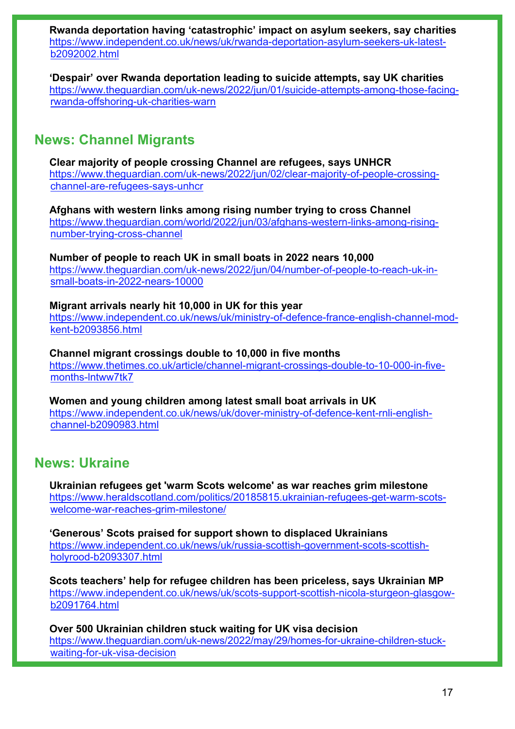**Rwanda deportation having 'catastrophic' impact on asylum seekers, say charities**  [https://www.independent.co.uk/news/uk/rwanda-deportation-asylum-seekers-uk-latest](https://www.independent.co.uk/news/uk/rwanda-deportation-asylum-seekers-uk-latest-b2092002.html)[b2092002.html](https://www.independent.co.uk/news/uk/rwanda-deportation-asylum-seekers-uk-latest-b2092002.html)

**'Despair' over Rwanda deportation leading to suicide attempts, say UK charities**  [https://www.theguardian.com/uk-news/2022/jun/01/suicide-attempts-among-those-facing](https://www.theguardian.com/uk-news/2022/jun/01/suicide-attempts-among-those-facing-rwanda-offshoring-uk-charities-warn)[rwanda-offshoring-uk-charities-warn](https://www.theguardian.com/uk-news/2022/jun/01/suicide-attempts-among-those-facing-rwanda-offshoring-uk-charities-warn)

## **News: Channel Migrants**

**Clear majority of people crossing Channel are refugees, says UNHCR**  [https://www.theguardian.com/uk-news/2022/jun/02/clear-majority-of-people-crossing](https://www.theguardian.com/uk-news/2022/jun/02/clear-majority-of-people-crossing-channel-are-refugees-says-unhcr)[channel-are-refugees-says-unhcr](https://www.theguardian.com/uk-news/2022/jun/02/clear-majority-of-people-crossing-channel-are-refugees-says-unhcr)

**Afghans with western links among rising number trying to cross Channel**  [https://www.theguardian.com/world/2022/jun/03/afghans-western-links-among-rising](https://www.theguardian.com/world/2022/jun/03/afghans-western-links-among-rising-number-trying-cross-channel)[number-trying-cross-channel](https://www.theguardian.com/world/2022/jun/03/afghans-western-links-among-rising-number-trying-cross-channel)

**Number of people to reach UK in small boats in 2022 nears 10,000** [https://www.theguardian.com/uk-news/2022/jun/04/number-of-people-to-reach-uk-in](https://www.theguardian.com/uk-news/2022/jun/04/number-of-people-to-reach-uk-in-small-boats-in-2022-nears-10000)[small-boats-in-2022-nears-10000](https://www.theguardian.com/uk-news/2022/jun/04/number-of-people-to-reach-uk-in-small-boats-in-2022-nears-10000)

**Migrant arrivals nearly hit 10,000 in UK for this year**  [https://www.independent.co.uk/news/uk/ministry-of-defence-france-english-channel-mod](https://www.independent.co.uk/news/uk/ministry-of-defence-france-english-channel-mod-kent-b2093856.html)[kent-b2093856.html](https://www.independent.co.uk/news/uk/ministry-of-defence-france-english-channel-mod-kent-b2093856.html)

**Channel migrant crossings double to 10,000 in five months**  [https://www.thetimes.co.uk/article/channel-migrant-crossings-double-to-10-000-in-five](https://www.thetimes.co.uk/article/channel-migrant-crossings-double-to-10-000-in-five-months-lntww7tk7)[months-lntww7tk7](https://www.thetimes.co.uk/article/channel-migrant-crossings-double-to-10-000-in-five-months-lntww7tk7)

**Women and young children among latest small boat arrivals in UK**  [https://www.independent.co.uk/news/uk/dover-ministry-of-defence-kent-rnli-english](https://www.independent.co.uk/news/uk/dover-ministry-of-defence-kent-rnli-english-channel-b2090983.html)[channel-b2090983.html](https://www.independent.co.uk/news/uk/dover-ministry-of-defence-kent-rnli-english-channel-b2090983.html)

## **News: Ukraine**

**Ukrainian refugees get 'warm Scots welcome' as war reaches grim milestone** [https://www.heraldscotland.com/politics/20185815.ukrainian-refugees-get-warm-scots](https://www.heraldscotland.com/politics/20185815.ukrainian-refugees-get-warm-scots-welcome-war-reaches-grim-milestone/)[welcome-war-reaches-grim-milestone/](https://www.heraldscotland.com/politics/20185815.ukrainian-refugees-get-warm-scots-welcome-war-reaches-grim-milestone/)

**'Generous' Scots praised for support shown to displaced Ukrainians**  [https://www.independent.co.uk/news/uk/russia-scottish-government-scots-scottish](https://www.independent.co.uk/news/uk/russia-scottish-government-scots-scottish-holyrood-b2093307.html)[holyrood-b2093307.html](https://www.independent.co.uk/news/uk/russia-scottish-government-scots-scottish-holyrood-b2093307.html)

**Scots teachers' help for refugee children has been priceless, says Ukrainian MP**  [https://www.independent.co.uk/news/uk/scots-support-scottish-nicola-sturgeon-glasgow](https://www.independent.co.uk/news/uk/scots-support-scottish-nicola-sturgeon-glasgow-b2091764.html)[b2091764.html](https://www.independent.co.uk/news/uk/scots-support-scottish-nicola-sturgeon-glasgow-b2091764.html)

**Over 500 Ukrainian children stuck waiting for UK visa decision**  [https://www.theguardian.com/uk-news/2022/may/29/homes-for-ukraine-children-stuck](https://www.theguardian.com/uk-news/2022/may/29/homes-for-ukraine-children-stuck-waiting-for-uk-visa-decision)[waiting-for-uk-visa-decision](https://www.theguardian.com/uk-news/2022/may/29/homes-for-ukraine-children-stuck-waiting-for-uk-visa-decision)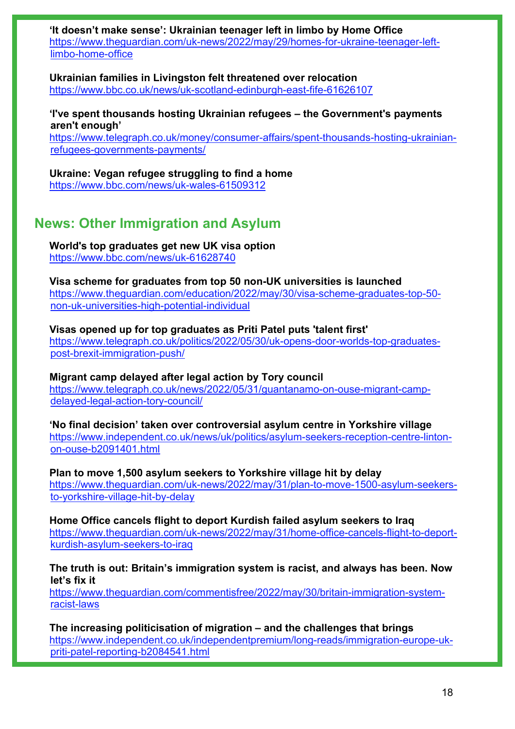**'It doesn't make sense': Ukrainian teenager left in limbo by Home Office**  [https://www.theguardian.com/uk-news/2022/may/29/homes-for-ukraine-teenager-left](https://www.theguardian.com/uk-news/2022/may/29/homes-for-ukraine-teenager-left-limbo-home-office)[limbo-home-office](https://www.theguardian.com/uk-news/2022/may/29/homes-for-ukraine-teenager-left-limbo-home-office)

**Ukrainian families in Livingston felt threatened over relocation** <https://www.bbc.co.uk/news/uk-scotland-edinburgh-east-fife-61626107>

**'I've spent thousands hosting Ukrainian refugees – the Government's payments aren't enough'**

[https://www.telegraph.co.uk/money/consumer-affairs/spent-thousands-hosting-ukrainian](https://www.telegraph.co.uk/money/consumer-affairs/spent-thousands-hosting-ukrainian-refugees-governments-payments/)[refugees-governments-payments/](https://www.telegraph.co.uk/money/consumer-affairs/spent-thousands-hosting-ukrainian-refugees-governments-payments/)

**Ukraine: Vegan refugee struggling to find a home** <https://www.bbc.com/news/uk-wales-61509312>

## **News: Other Immigration and Asylum**

**World's top graduates get new UK visa option** <https://www.bbc.com/news/uk-61628740>

**Visa scheme for graduates from top 50 non-UK universities is launched**  [https://www.theguardian.com/education/2022/may/30/visa-scheme-graduates-top-50](https://www.theguardian.com/education/2022/may/30/visa-scheme-graduates-top-50-non-uk-universities-high-potential-individual) [non-uk-universities-high-potential-individual](https://www.theguardian.com/education/2022/may/30/visa-scheme-graduates-top-50-non-uk-universities-high-potential-individual)

**Visas opened up for top graduates as Priti Patel puts 'talent first'** [https://www.telegraph.co.uk/politics/2022/05/30/uk-opens-door-worlds-top-graduates](https://www.telegraph.co.uk/politics/2022/05/30/uk-opens-door-worlds-top-graduates-post-brexit-immigration-push/)[post-brexit-immigration-push/](https://www.telegraph.co.uk/politics/2022/05/30/uk-opens-door-worlds-top-graduates-post-brexit-immigration-push/)

**Migrant camp delayed after legal action by Tory council** [https://www.telegraph.co.uk/news/2022/05/31/guantanamo-on-ouse-migrant-camp](https://www.telegraph.co.uk/news/2022/05/31/guantanamo-on-ouse-migrant-camp-delayed-legal-action-tory-council/)[delayed-legal-action-tory-council/](https://www.telegraph.co.uk/news/2022/05/31/guantanamo-on-ouse-migrant-camp-delayed-legal-action-tory-council/)

**'No final decision' taken over controversial asylum centre in Yorkshire village**  [https://www.independent.co.uk/news/uk/politics/asylum-seekers-reception-centre-linton](https://www.independent.co.uk/news/uk/politics/asylum-seekers-reception-centre-linton-on-ouse-b2091401.html)[on-ouse-b2091401.html](https://www.independent.co.uk/news/uk/politics/asylum-seekers-reception-centre-linton-on-ouse-b2091401.html)

**Plan to move 1,500 asylum seekers to Yorkshire village hit by delay**  [https://www.theguardian.com/uk-news/2022/may/31/plan-to-move-1500-asylum-seekers](https://www.theguardian.com/uk-news/2022/may/31/plan-to-move-1500-asylum-seekers-to-yorkshire-village-hit-by-delay)[to-yorkshire-village-hit-by-delay](https://www.theguardian.com/uk-news/2022/may/31/plan-to-move-1500-asylum-seekers-to-yorkshire-village-hit-by-delay)

**Home Office cancels flight to deport Kurdish failed asylum seekers to Iraq**  [https://www.theguardian.com/uk-news/2022/may/31/home-office-cancels-flight-to-deport](https://www.theguardian.com/uk-news/2022/may/31/home-office-cancels-flight-to-deport-kurdish-asylum-seekers-to-iraq)[kurdish-asylum-seekers-to-iraq](https://www.theguardian.com/uk-news/2022/may/31/home-office-cancels-flight-to-deport-kurdish-asylum-seekers-to-iraq)

**The truth is out: Britain's immigration system is racist, and always has been. Now let's fix it** 

[https://www.theguardian.com/commentisfree/2022/may/30/britain-immigration-system](https://www.theguardian.com/commentisfree/2022/may/30/britain-immigration-system-racist-laws)[racist-laws](https://www.theguardian.com/commentisfree/2022/may/30/britain-immigration-system-racist-laws)

**The increasing politicisation of migration – and the challenges that brings**  [https://www.independent.co.uk/independentpremium/long-reads/immigration-europe-uk](https://www.independent.co.uk/independentpremium/long-reads/immigration-europe-uk-priti-patel-reporting-b2084541.html)[priti-patel-reporting-b2084541.html](https://www.independent.co.uk/independentpremium/long-reads/immigration-europe-uk-priti-patel-reporting-b2084541.html)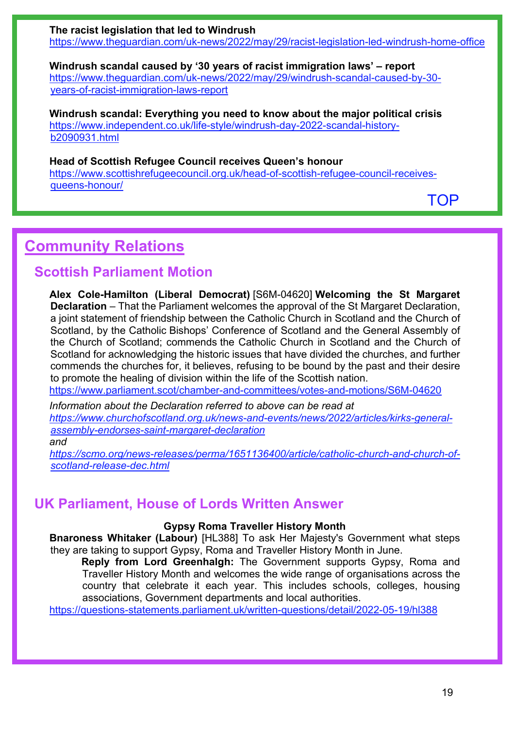**The racist legislation that led to Windrush**  <https://www.theguardian.com/uk-news/2022/may/29/racist-legislation-led-windrush-home-office>

**Windrush scandal caused by '30 years of racist immigration laws' – report**  [https://www.theguardian.com/uk-news/2022/may/29/windrush-scandal-caused-by-30](https://www.theguardian.com/uk-news/2022/may/29/windrush-scandal-caused-by-30-years-of-racist-immigration-laws-report) [years-of-racist-immigration-laws-report](https://www.theguardian.com/uk-news/2022/may/29/windrush-scandal-caused-by-30-years-of-racist-immigration-laws-report)

**Windrush scandal: Everything you need to know about the major political crisis**  [https://www.independent.co.uk/life-style/windrush-day-2022-scandal-history](https://www.independent.co.uk/life-style/windrush-day-2022-scandal-history-b2090931.html)[b2090931.html](https://www.independent.co.uk/life-style/windrush-day-2022-scandal-history-b2090931.html)

## **Head of Scottish Refugee Council receives Queen's honour**

[https://www.scottishrefugeecouncil.org.uk/head-of-scottish-refugee-council-receives](https://www.scottishrefugeecouncil.org.uk/head-of-scottish-refugee-council-receives-queens-honour/)[queens-honour/](https://www.scottishrefugeecouncil.org.uk/head-of-scottish-refugee-council-receives-queens-honour/) 

[TOP](#page-0-1)

# <span id="page-18-0"></span>**Community Relations**

## **Scottish Parliament Motion**

**Alex Cole-Hamilton (Liberal Democrat)** [S6M-04620] **Welcoming the St Margaret Declaration** – That the Parliament welcomes the approval of the St Margaret Declaration, a joint statement of friendship between the Catholic Church in Scotland and the Church of Scotland, by the Catholic Bishops' Conference of Scotland and the General Assembly of the Church of Scotland; commends the Catholic Church in Scotland and the Church of Scotland for acknowledging the historic issues that have divided the churches, and further commends the churches for, it believes, refusing to be bound by the past and their desire to promote the healing of division within the life of the Scottish nation.

<https://www.parliament.scot/chamber-and-committees/votes-and-motions/S6M-04620>

*Information about the Declaration referred to above can be read at [https://www.churchofscotland.org.uk/news-and-events/news/2022/articles/kirks-general](https://www.churchofscotland.org.uk/news-and-events/news/2022/articles/kirks-general-assembly-endorses-saint-margaret-declaration)[assembly-endorses-saint-margaret-declaration](https://www.churchofscotland.org.uk/news-and-events/news/2022/articles/kirks-general-assembly-endorses-saint-margaret-declaration) and*

*[https://scmo.org/news-releases/perma/1651136400/article/catholic-church-and-church-of](https://scmo.org/news-releases/perma/1651136400/article/catholic-church-and-church-of-scotland-release-dec.html)[scotland-release-dec.html](https://scmo.org/news-releases/perma/1651136400/article/catholic-church-and-church-of-scotland-release-dec.html)*

## **UK Parliament, House of Lords Written Answer**

## **Gypsy Roma Traveller History Month**

**Bnaroness Whitaker (Labour)** [HL388] To ask Her Majesty's Government what steps they are taking to support Gypsy, Roma and Traveller History Month in June.

**Reply from Lord Greenhalgh:** The Government supports Gypsy, Roma and Traveller History Month and welcomes the wide range of organisations across the country that celebrate it each year. This includes schools, colleges, housing associations, Government departments and local authorities.

<https://questions-statements.parliament.uk/written-questions/detail/2022-05-19/hl388>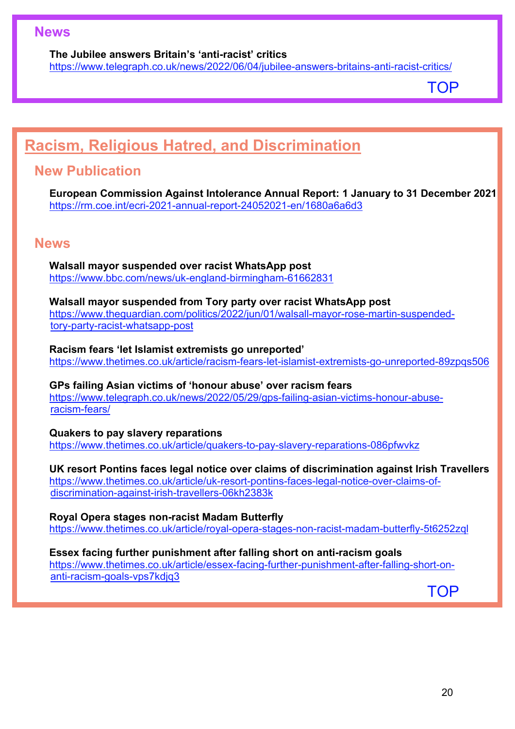## **News**

### **The Jubilee answers Britain's 'anti-racist' critics**

<https://www.telegraph.co.uk/news/2022/06/04/jubilee-answers-britains-anti-racist-critics/>

[TOP](#page-0-1)

# <span id="page-19-0"></span>**Racism, Religious Hatred, and Discrimination**

## **New Publication**

**European Commission Against Intolerance Annual Report: 1 January to 31 December 2021** <https://rm.coe.int/ecri-2021-annual-report-24052021-en/1680a6a6d3>

## **News**

**Walsall mayor suspended over racist WhatsApp post** <https://www.bbc.com/news/uk-england-birmingham-61662831>

**Walsall mayor suspended from Tory party over racist WhatsApp post**  [https://www.theguardian.com/politics/2022/jun/01/walsall-mayor-rose-martin-suspended](https://www.theguardian.com/politics/2022/jun/01/walsall-mayor-rose-martin-suspended-tory-party-racist-whatsapp-post)[tory-party-racist-whatsapp-post](https://www.theguardian.com/politics/2022/jun/01/walsall-mayor-rose-martin-suspended-tory-party-racist-whatsapp-post)

**Racism fears 'let Islamist extremists go unreported'**  <https://www.thetimes.co.uk/article/racism-fears-let-islamist-extremists-go-unreported-89zpqs506>

**GPs failing Asian victims of 'honour abuse' over racism fears** [https://www.telegraph.co.uk/news/2022/05/29/gps-failing-asian-victims-honour-abuse](https://www.telegraph.co.uk/news/2022/05/29/gps-failing-asian-victims-honour-abuse-racism-fears/)[racism-fears/](https://www.telegraph.co.uk/news/2022/05/29/gps-failing-asian-victims-honour-abuse-racism-fears/)

**Quakers to pay slavery reparations**  <https://www.thetimes.co.uk/article/quakers-to-pay-slavery-reparations-086pfwvkz>

## **UK resort Pontins faces legal notice over claims of discrimination against Irish Travellers**

[https://www.thetimes.co.uk/article/uk-resort-pontins-faces-legal-notice-over-claims-of](https://www.thetimes.co.uk/article/uk-resort-pontins-faces-legal-notice-over-claims-of-discrimination-against-irish-travellers-06kh2383k)[discrimination-against-irish-travellers-06kh2383k](https://www.thetimes.co.uk/article/uk-resort-pontins-faces-legal-notice-over-claims-of-discrimination-against-irish-travellers-06kh2383k)

**Royal Opera stages non-racist Madam Butterfly**  <https://www.thetimes.co.uk/article/royal-opera-stages-non-racist-madam-butterfly-5t6252zql>

## **Essex facing further punishment after falling short on anti-racism goals**

[https://www.thetimes.co.uk/article/essex-facing-further-punishment-after-falling-short-on](https://www.thetimes.co.uk/article/essex-facing-further-punishment-after-falling-short-on-anti-racism-goals-vps7kdjq3)[anti-racism-goals-vps7kdjq3](https://www.thetimes.co.uk/article/essex-facing-further-punishment-after-falling-short-on-anti-racism-goals-vps7kdjq3)

[TOP](#page-0-1)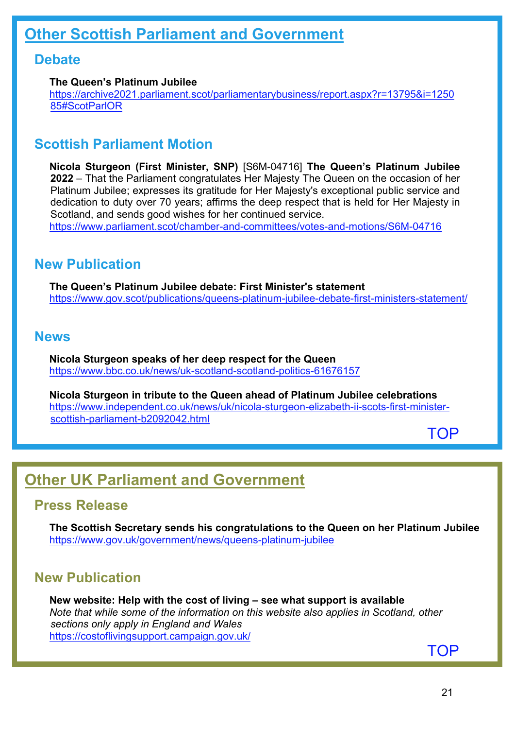## <span id="page-20-0"></span>**Debate**

## **The Queen's Platinum Jubilee**

[https://archive2021.parliament.scot/parliamentarybusiness/report.aspx?r=13795&i=1250](https://archive2021.parliament.scot/parliamentarybusiness/report.aspx?r=13795&i=125085#ScotParlOR) [85#ScotParlOR](https://archive2021.parliament.scot/parliamentarybusiness/report.aspx?r=13795&i=125085#ScotParlOR) 

## **Scottish Parliament Motion**

**Nicola Sturgeon (First Minister, SNP)** [S6M-04716] **The Queen's Platinum Jubilee 2022** – That the Parliament congratulates Her Majesty The Queen on the occasion of her Platinum Jubilee; expresses its gratitude for Her Majesty's exceptional public service and dedication to duty over 70 years; affirms the deep respect that is held for Her Majesty in Scotland, and sends good wishes for her continued service. <https://www.parliament.scot/chamber-and-committees/votes-and-motions/S6M-04716>

## **New Publication**

**The Queen's Platinum Jubilee debate: First Minister's statement** <https://www.gov.scot/publications/queens-platinum-jubilee-debate-first-ministers-statement/>

## **News**

**Nicola Sturgeon speaks of her deep respect for the Queen** <https://www.bbc.co.uk/news/uk-scotland-scotland-politics-61676157>

**Nicola Sturgeon in tribute to the Queen ahead of Platinum Jubilee celebrations**  [https://www.independent.co.uk/news/uk/nicola-sturgeon-elizabeth-ii-scots-first-minister](https://www.independent.co.uk/news/uk/nicola-sturgeon-elizabeth-ii-scots-first-minister-scottish-parliament-b2092042.html)[scottish-parliament-b2092042.html](https://www.independent.co.uk/news/uk/nicola-sturgeon-elizabeth-ii-scots-first-minister-scottish-parliament-b2092042.html)

[TOP](#page-0-1)

# <span id="page-20-1"></span>**Other UK Parliament and Government**

## **Press Release**

**The Scottish Secretary sends his congratulations to the Queen on her Platinum Jubilee** <https://www.gov.uk/government/news/queens-platinum-jubilee>

## **New Publication**

**New website: Help with the cost of living – see what support is available** *Note that while some of the information on this website also applies in Scotland, other sections only apply in England and Wales* <https://costoflivingsupport.campaign.gov.uk/>

[TOP](#page-0-1)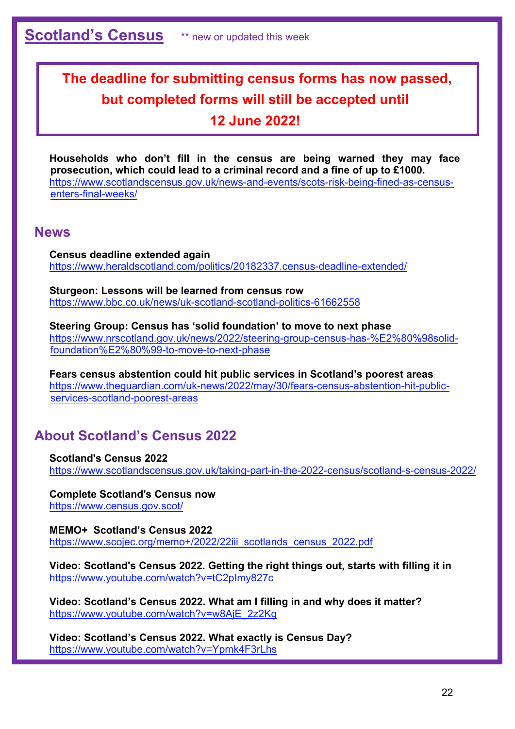# <span id="page-21-0"></span>**The deadline for submitting census forms has now passed, but completed forms will still be accepted until 12 June 2022!**

**Households who don't fill in the census are being warned they may face prosecution, which could lead to a criminal record and a fine of up to £1000.** [https://www.scotlandscensus.gov.uk/news-and-events/scots-risk-being-fined-as-census](https://www.scotlandscensus.gov.uk/news-and-events/scots-risk-being-fined-as-census-enters-final-weeks/)[enters-final-weeks/](https://www.scotlandscensus.gov.uk/news-and-events/scots-risk-being-fined-as-census-enters-final-weeks/) 

## **News**

**Census deadline extended again** <https://www.heraldscotland.com/politics/20182337.census-deadline-extended/>

**Sturgeon: Lessons will be learned from census row** <https://www.bbc.co.uk/news/uk-scotland-scotland-politics-61662558>

**Steering Group: Census has 'solid foundation' to move to next phase** [https://www.nrscotland.gov.uk/news/2022/steering-group-census-has-%E2%80%98solid](https://www.nrscotland.gov.uk/news/2022/steering-group-census-has-%E2%80%98solid-foundation%E2%80%99-to-move-to-next-phase)[foundation%E2%80%99-to-move-to-next-phase](https://www.nrscotland.gov.uk/news/2022/steering-group-census-has-%E2%80%98solid-foundation%E2%80%99-to-move-to-next-phase)

**Fears census abstention could hit public services in Scotland's poorest areas**  [https://www.theguardian.com/uk-news/2022/may/30/fears-census-abstention-hit-public](https://www.theguardian.com/uk-news/2022/may/30/fears-census-abstention-hit-public-services-scotland-poorest-areas)[services-scotland-poorest-areas](https://www.theguardian.com/uk-news/2022/may/30/fears-census-abstention-hit-public-services-scotland-poorest-areas)

## **About Scotland's Census 2022**

**Scotland's Census 2022** <https://www.scotlandscensus.gov.uk/taking-part-in-the-2022-census/scotland-s-census-2022/>

**Complete Scotland's Census now** <https://www.census.gov.scot/>

**MEMO+ Scotland's Census 2022** https://www.scojec.org/memo+/2022/22iii\_scotlands\_census\_2022.pdf

**Video: Scotland's Census 2022. Getting the right things out, starts with filling it in** <https://www.youtube.com/watch?v=tC2pImy827c>

**Video: Scotland's Census 2022. What am I filling in and why does it matter?** [https://www.youtube.com/watch?v=w8AjE\\_2z2Kg](https://www.youtube.com/watch?v=w8AjE_2z2Kg) 

**Video: Scotland's Census 2022. What exactly is Census Day?** <https://www.youtube.com/watch?v=Ypmk4F3rLhs>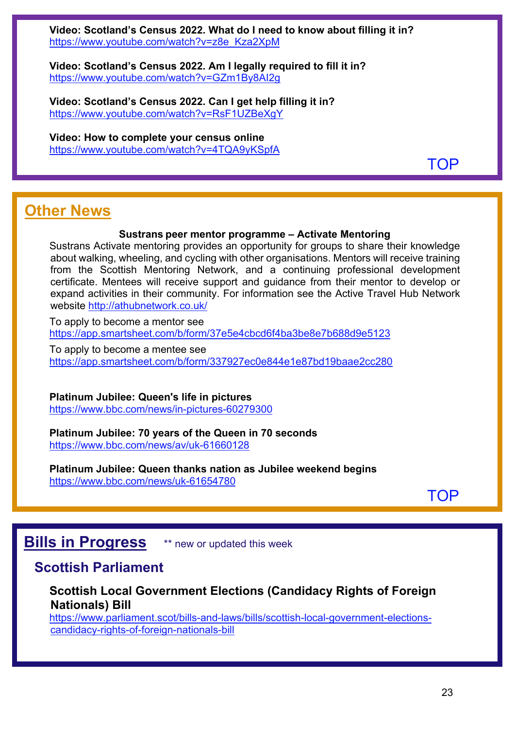**Video: Scotland's Census 2022. What do I need to know about filling it in?** [https://www.youtube.com/watch?v=z8e\\_Kza2XpM](https://www.youtube.com/watch?v=z8e_Kza2XpM)

**Video: Scotland's Census 2022. Am I legally required to fill it in?** <https://www.youtube.com/watch?v=GZm1By8AI2g>

**Video: Scotland's Census 2022. Can I get help filling it in?** <https://www.youtube.com/watch?v=RsF1UZBeXgY>

**Video: How to complete your census online** <https://www.youtube.com/watch?v=4TQA9yKSpfA>

[TOP](#page-0-1)

# <span id="page-22-1"></span>**Other News**

## **Sustrans peer mentor programme – Activate Mentoring**

Sustrans Activate mentoring provides an opportunity for groups to share their knowledge about walking, wheeling, and cycling with other organisations. Mentors will receive training from the Scottish Mentoring Network, and a continuing professional development certificate. Mentees will receive support and guidance from their mentor to develop or expand activities in their community. For information see the Active Travel Hub Network website<http://athubnetwork.co.uk/>

To apply to become a mentor see <https://app.smartsheet.com/b/form/37e5e4cbcd6f4ba3be8e7b688d9e5123>

To apply to become a mentee see <https://app.smartsheet.com/b/form/337927ec0e844e1e87bd19baae2cc280>

**Platinum Jubilee: Queen's life in pictures** <https://www.bbc.com/news/in-pictures-60279300>

**Platinum Jubilee: 70 years of the Queen in 70 seconds** <https://www.bbc.com/news/av/uk-61660128>

**Platinum Jubilee: Queen thanks nation as Jubilee weekend begins** <https://www.bbc.com/news/uk-61654780>

[TOP](#page-0-1)

## <span id="page-22-0"></span>**Bills in Progress** \*\* new or updated this week

## **Scottish Parliament**

## **Scottish Local Government Elections (Candidacy Rights of Foreign Nationals) Bill**

[https://www.parliament.scot/bills-and-laws/bills/scottish-local-government-elections](https://www.parliament.scot/bills-and-laws/bills/scottish-local-government-elections-candidacy-rights-of-foreign-nationals-bill)[candidacy-rights-of-foreign-nationals-bill](https://www.parliament.scot/bills-and-laws/bills/scottish-local-government-elections-candidacy-rights-of-foreign-nationals-bill)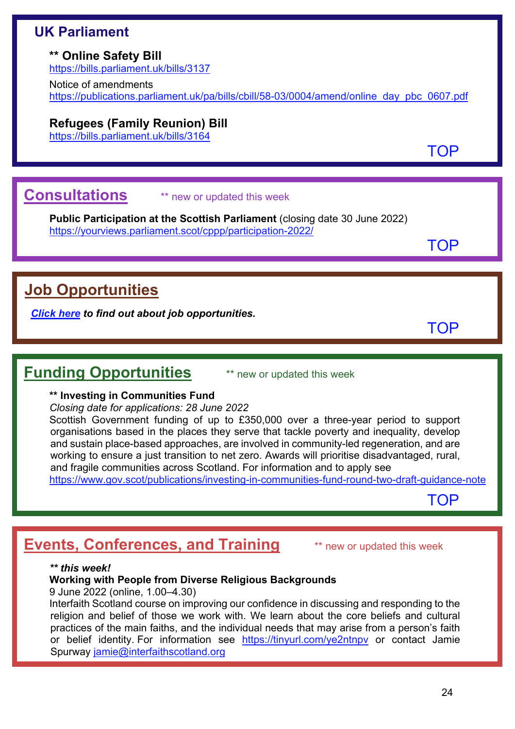## **UK Parliament**

## **\*\* Online Safety Bill**

<https://bills.parliament.uk/bills/3137>

Notice of amendments [https://publications.parliament.uk/pa/bills/cbill/58-03/0004/amend/online\\_day\\_pbc\\_0607.pdf](https://publications.parliament.uk/pa/bills/cbill/58-03/0004/amend/online_day_pbc_0607.pdf)

## **Refugees (Family Reunion) Bill**

<https://bills.parliament.uk/bills/3164>

<span id="page-23-0"></span>**Consultations** \*\* new or updated this week

**Public Participation at the Scottish Parliament** (closing date 30 June 2022) <https://yourviews.parliament.scot/cppp/participation-2022/>

[TOP](#page-0-1)

[TOP](#page-0-1)

[TOP](#page-0-1)

# <span id="page-23-1"></span>**Job Opportunities**

*[Click here](https://www.scojec.org/memo/jobs.html) to find out about job opportunities.*

## <span id="page-23-2"></span>**Funding Opportunities** \*\* new or updated this week

## **\*\* Investing in Communities Fund**

*Closing date for applications: 28 June 2022*

Scottish Government funding of up to £350,000 over a three-year period to support organisations based in the places they serve that tackle poverty and inequality, develop and sustain place-based approaches, are involved in community-led regeneration, and are working to ensure a just transition to net zero. Awards will prioritise disadvantaged, rural, and fragile communities across Scotland. For information and to apply see

<https://www.gov.scot/publications/investing-in-communities-fund-round-two-draft-guidance-note>

[TOP](#page-0-1)

# <span id="page-23-3"></span>**Events, Conferences, and Training** \*\* new or updated this week

## *\*\* this week!*

## **Working with People from Diverse Religious Backgrounds**

9 June 2022 (online, 1.00–4.30)

Interfaith Scotland course on improving our confidence in discussing and responding to the religion and belief of those we work with. We learn about the core beliefs and cultural practices of the main faiths, and the individual needs that may arise from a person's faith or belief identity. For information see <https://tinyurl.com/ye2ntnpv> or contact Jamie Spurway [jamie@interfaithscotland.org](mailto:jamie@interfaithscotland.org)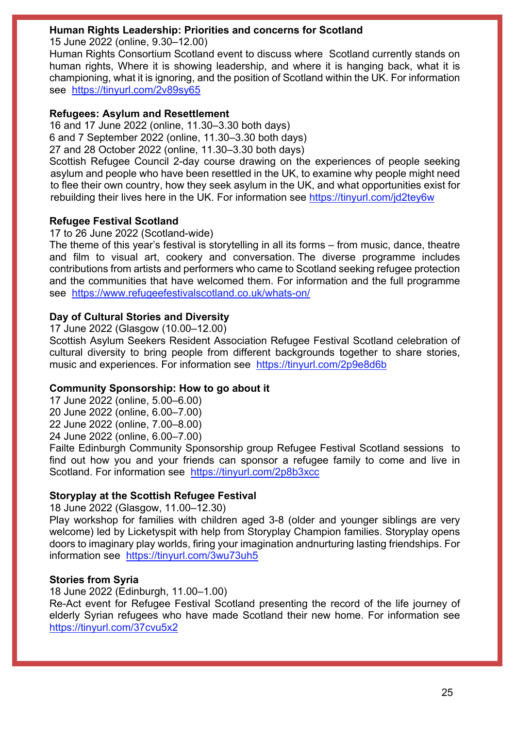## **Human Rights Leadership: Priorities and concerns for Scotland**

15 June 2022 (online, 9.30–12.00)

Human Rights Consortium Scotland event to discuss where Scotland currently stands on human rights, Where it is showing leadership, and where it is hanging back, what it is championing, what it is ignoring, and the position of Scotland within the UK. For information see <https://tinyurl.com/2v89sy65>

## **Refugees: Asylum and Resettlement**

16 and 17 June 2022 (online, 11.30–3.30 both days) 6 and 7 September 2022 (online, 11.30–3.30 both days)

27 and 28 October 2022 (online, 11.30–3.30 both days)

Scottish Refugee Council 2-day course drawing on the experiences of people seeking asylum and people who have been resettled in the UK, to examine why people might need to flee their own country, how they seek asylum in the UK, and what opportunities exist for rebuilding their lives here in the UK. For information see <https://tinyurl.com/jd2tey6w>

## **Refugee Festival Scotland**

17 to 26 June 2022 (Scotland-wide)

The theme of this year's festival is storytelling in all its forms – from music, dance, theatre and film to visual art, cookery and conversation. The diverse programme includes contributions from artists and performers who came to Scotland seeking refugee protection and the communities that have welcomed them. For information and the full programme see <https://www.refugeefestivalscotland.co.uk/whats-on/>

## **Day of Cultural Stories and Diversity**

17 June 2022 (Glasgow (10.00–12.00)

Scottish Asylum Seekers Resident Association Refugee Festival Scotland celebration of cultural diversity to bring people from different backgrounds together to share stories, music and experiences. For information see <https://tinyurl.com/2p9e8d6b>

## **Community Sponsorship: How to go about it**

17 June 2022 (online, 5.00–6.00) 20 June 2022 (online, 6.00–7.00) 22 June 2022 (online, 7.00–8.00) 24 June 2022 (online, 6.00–7.00)

Failte Edinburgh Community Sponsorship group Refugee Festival Scotland sessions to find out how you and your friends can sponsor a refugee family to come and live in Scotland. For information see <https://tinyurl.com/2p8b3xcc>

## **Storyplay at the Scottish Refugee Festival**

18 June 2022 (Glasgow, 11.00–12.30)

Play workshop for families with children aged 3-8 (older and younger siblings are very welcome) led by Licketyspit with help from Storyplay Champion families. Storyplay opens doors to imaginary play worlds, firing your imagination andnurturing lasting friendships. For information see <https://tinyurl.com/3wu73uh5>

## **Stories from Syria**

18 June 2022 (Edinburgh, 11.00–1.00)

Re-Act event for Refugee Festival Scotland presenting the record of the life journey of elderly Syrian refugees who have made Scotland their new home. For information see <https://tinyurl.com/37cvu5x2>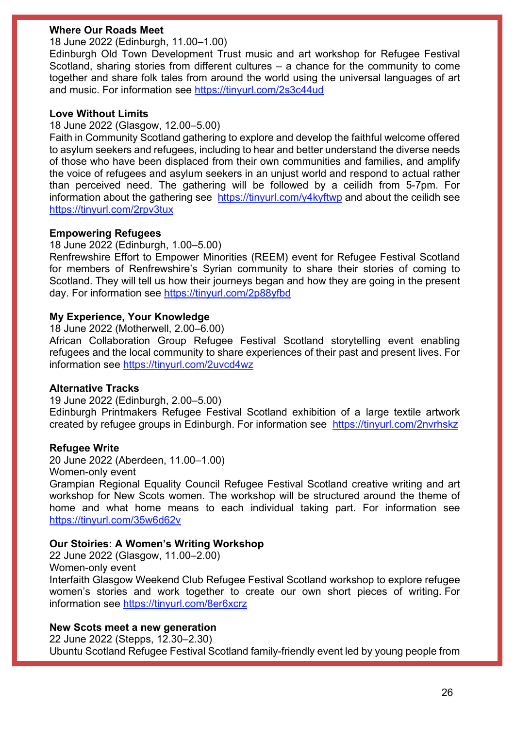## **Where Our Roads Meet**

18 June 2022 (Edinburgh, 11.00–1.00)

Edinburgh Old Town Development Trust music and art workshop for Refugee Festival Scotland, sharing stories from different cultures – a chance for the community to come together and share folk tales from around the world using the universal languages of art and music. For information see<https://tinyurl.com/2s3c44ud>

## **Love Without Limits**

## 18 June 2022 (Glasgow, 12.00–5.00)

Faith in Community Scotland gathering to explore and develop the faithful welcome offered to asylum seekers and refugees, including to hear and better understand the diverse needs of those who have been displaced from their own communities and families, and amplify the voice of refugees and asylum seekers in an unjust world and respond to actual rather than perceived need. The gathering will be followed by a ceilidh from 5-7pm. For information about the gathering see <https://tinyurl.com/y4kyftwp> and about the ceilidh see <https://tinyurl.com/2rpv3tux>

## **Empowering Refugees**

18 June 2022 (Edinburgh, 1.00–5.00)

Renfrewshire Effort to Empower Minorities (REEM) event for Refugee Festival Scotland for members of Renfrewshire's Syrian community to share their stories of coming to Scotland. They will tell us how their journeys began and how they are going in the present day. For information see<https://tinyurl.com/2p88yfbd>

## **My Experience, Your Knowledge**

18 June 2022 (Motherwell, 2.00–6.00)

African Collaboration Group Refugee Festival Scotland storytelling event enabling refugees and the local community to share experiences of their past and present lives. For information see<https://tinyurl.com/2uvcd4wz>

## **Alternative Tracks**

19 June 2022 (Edinburgh, 2.00–5.00)

Edinburgh Printmakers Refugee Festival Scotland exhibition of a large textile artwork created by refugee groups in Edinburgh. For information see <https://tinyurl.com/2nvrhskz>

## **Refugee Write**

20 June 2022 (Aberdeen, 11.00–1.00)

Women-only event

Grampian Regional Equality Council Refugee Festival Scotland creative writing and art workshop for New Scots women. The workshop will be structured around the theme of home and what home means to each individual taking part. For information see <https://tinyurl.com/35w6d62v>

## **Our Stoiries: A Women's Writing Workshop**

22 June 2022 (Glasgow, 11.00–2.00) Women-only event Interfaith Glasgow Weekend Club Refugee Festival Scotland workshop to explore refugee women's stories and work together to create our own short pieces of writing. For information see<https://tinyurl.com/8er6xcrz>

## **New Scots meet a new generation**

22 June 2022 (Stepps, 12.30–2.30) Ubuntu Scotland Refugee Festival Scotland family-friendly event led by young people from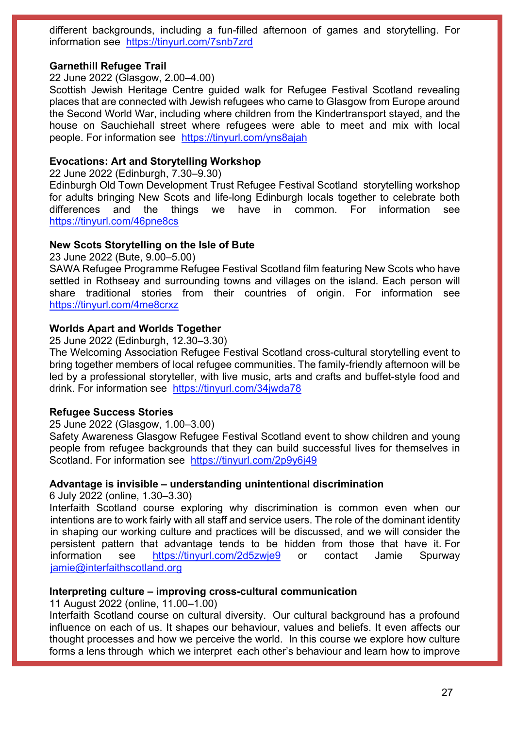different backgrounds, including a fun-filled afternoon of games and storytelling. For information see <https://tinyurl.com/7snb7zrd>

### **Garnethill Refugee Trail**

22 June 2022 (Glasgow, 2.00–4.00)

Scottish Jewish Heritage Centre guided walk for Refugee Festival Scotland revealing places that are connected with Jewish refugees who came to Glasgow from Europe around the Second World War, including where children from the Kindertransport stayed, and the house on Sauchiehall street where refugees were able to meet and mix with local people. For information see <https://tinyurl.com/yns8ajah>

### **Evocations: Art and Storytelling Workshop**

22 June 2022 (Edinburgh, 7.30–9.30)

Edinburgh Old Town Development Trust Refugee Festival Scotland storytelling workshop for adults bringing New Scots and life-long Edinburgh locals together to celebrate both differences and the things we have in common. For information see <https://tinyurl.com/46pne8cs>

#### **New Scots Storytelling on the Isle of Bute**

23 June 2022 (Bute, 9.00–5.00)

SAWA Refugee Programme Refugee Festival Scotland film featuring New Scots who have settled in Rothseay and surrounding towns and villages on the island. Each person will share traditional stories from their countries of origin. For information see <https://tinyurl.com/4me8crxz>

## **Worlds Apart and Worlds Together**

25 June 2022 (Edinburgh, 12.30–3.30)

The Welcoming Association Refugee Festival Scotland cross-cultural storytelling event to bring together members of local refugee communities. The family-friendly afternoon will be led by a professional storyteller, with live music, arts and crafts and buffet-style food and drink. For information see <https://tinyurl.com/34jwda78>

#### **Refugee Success Stories**

25 June 2022 (Glasgow, 1.00–3.00)

Safety Awareness Glasgow Refugee Festival Scotland event to show children and young people from refugee backgrounds that they can build successful lives for themselves in Scotland. For information see <https://tinyurl.com/2p9y6j49>

## **Advantage is invisible – understanding unintentional discrimination**

6 July 2022 (online, 1.30–3.30)

Interfaith Scotland course exploring why discrimination is common even when our intentions are to work fairly with all staff and service users. The role of the dominant identity in shaping our working culture and practices will be discussed, and we will consider the persistent pattern that advantage tends to be hidden from those that have it. For information see <https://tinyurl.com/2d5zwje9> or contact Jamie Spurway [jamie@interfaithscotland.org](mailto:jamie@interfaithscotland.org)

## **Interpreting culture – improving cross-cultural communication**

11 August 2022 (online, 11.00–1.00)

Interfaith Scotland course on cultural diversity. Our cultural background has a profound influence on each of us. It shapes our behaviour, values and beliefs. It even affects our thought processes and how we perceive the world. In this course we explore how culture forms a lens through which we interpret each other's behaviour and learn how to improve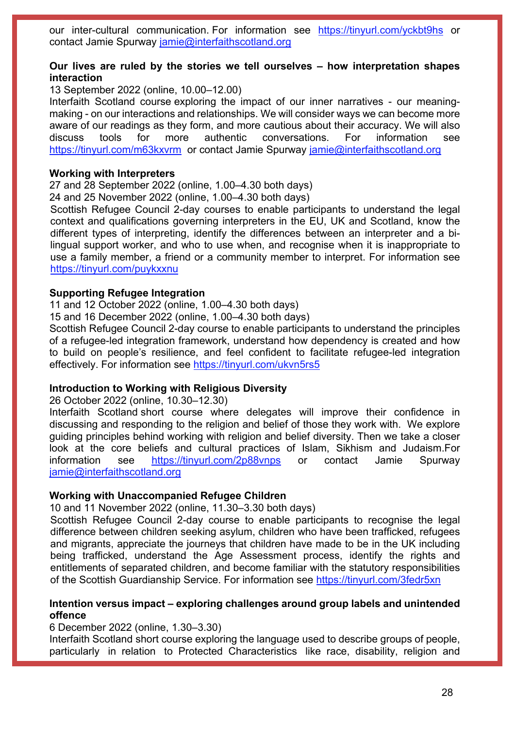our inter-cultural communication. For information see <https://tinyurl.com/yckbt9hs> or contact Jamie Spurway [jamie@interfaithscotland.org](mailto:jamie@interfaithscotland.org)

### **Our lives are ruled by the stories we tell ourselves – how interpretation shapes interaction**

13 September 2022 (online, 10.00–12.00)

Interfaith Scotland course exploring the impact of our inner narratives - our meaningmaking - on our interactions and relationships. We will consider ways we can become more aware of our readings as they form, and more cautious about their accuracy. We will also discuss tools for more authentic conversations. For information see <https://tinyurl.com/m63kxvrm>or contact Jamie Spurway [jamie@interfaithscotland.org](mailto:jamie@interfaithscotland.org)

#### **Working with Interpreters**

27 and 28 September 2022 (online, 1.00–4.30 both days)

24 and 25 November 2022 (online, 1.00–4.30 both days)

Scottish Refugee Council 2-day courses to enable participants to understand the legal context and qualifications governing interpreters in the EU, UK and Scotland, know the different types of interpreting, identify the differences between an interpreter and a bilingual support worker, and who to use when, and recognise when it is inappropriate to use a family member, a friend or a community member to interpret. For information see <https://tinyurl.com/puykxxnu>

### **Supporting Refugee Integration**

11 and 12 October 2022 (online, 1.00–4.30 both days)

15 and 16 December 2022 (online, 1.00–4.30 both days)

Scottish Refugee Council 2-day course to enable participants to understand the principles of a refugee-led integration framework, understand how dependency is created and how to build on people's resilience, and feel confident to facilitate refugee-led integration effectively. For information see<https://tinyurl.com/ukvn5rs5>

#### **Introduction to Working with Religious Diversity**

26 October 2022 (online, 10.30–12.30)

Interfaith Scotland short course where delegates will improve their confidence in discussing and responding to the religion and belief of those they work with. We explore guiding principles behind working with religion and belief diversity. Then we take a closer look at the core beliefs and cultural practices of Islam, Sikhism and Judaism.For information see <https://tinyurl.com/2p88vnps> or contact Jamie Spurway [jamie@interfaithscotland.org](mailto:jamie@interfaithscotland.org)

#### **Working with Unaccompanied Refugee Children**

10 and 11 November 2022 (online, 11.30–3.30 both days)

Scottish Refugee Council 2-day course to enable participants to recognise the legal difference between children seeking asylum, children who have been trafficked, refugees and migrants, appreciate the journeys that children have made to be in the UK including being trafficked, understand the Age Assessment process, identify the rights and entitlements of separated children, and become familiar with the statutory responsibilities of the Scottish Guardianship Service. For information see<https://tinyurl.com/3fedr5xn>

### **Intention versus impact – exploring challenges around group labels and unintended offence**

6 December 2022 (online, 1.30–3.30)

Interfaith Scotland short course exploring the language used to describe groups of people, particularly in relation to Protected Characteristics like race, disability, religion and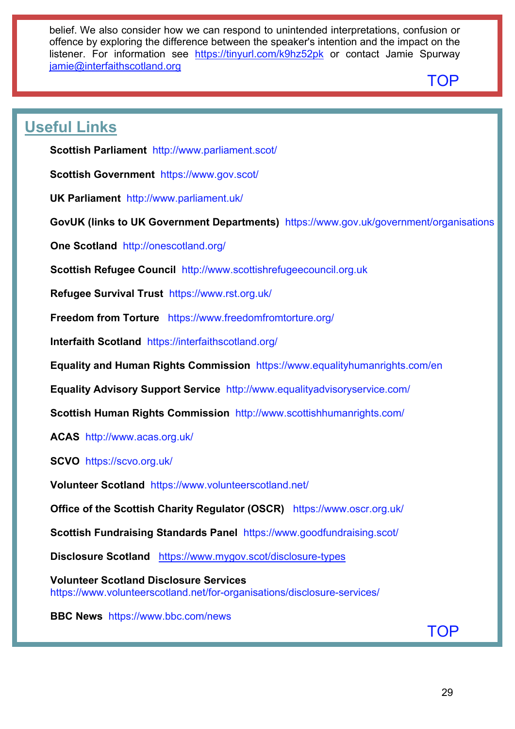belief. We also consider how we can respond to unintended interpretations, confusion or offence by exploring the difference between the speaker's intention and the impact on the listener. For information see <https://tinyurl.com/k9hz52pk> or contact Jamie Spurway [jamie@interfaithscotland.org](mailto:jamie@interfaithscotland.org)

## [TOP](#page-0-1)

# <span id="page-28-0"></span>**Useful Links**

**Scottish Parliament** <http://www.parliament.scot/>

**Scottish Government** <https://www.gov.scot/>

**UK Parliament** <http://www.parliament.uk/>

**GovUK (links to UK Government Departments)** <https://www.gov.uk/government/organisations>

**One Scotland** <http://onescotland.org/>

**Scottish Refugee Council** [http://www.scottishrefugeecouncil.org.uk](http://www.scottishrefugeecouncil.org.uk/) 

**Refugee Survival Trust** <https://www.rst.org.uk/>

**Freedom from Torture** <https://www.freedomfromtorture.org/>

**Interfaith Scotland** <https://interfaithscotland.org/>

**Equality and Human Rights Commission** <https://www.equalityhumanrights.com/en>

**Equality Advisory Support Service** <http://www.equalityadvisoryservice.com/>

**Scottish Human Rights Commission** <http://www.scottishhumanrights.com/>

**ACAS** <http://www.acas.org.uk/>

**SCVO** <https://scvo.org.uk/>

**Volunteer Scotland** <https://www.volunteerscotland.net/>

**Office of the Scottish Charity Regulator (OSCR)** <https://www.oscr.org.uk/>

**Scottish Fundraising Standards Panel** <https://www.goodfundraising.scot/>

**Disclosure Scotland** <https://www.mygov.scot/disclosure-types>

**Volunteer Scotland Disclosure Services**  <https://www.volunteerscotland.net/for-organisations/disclosure-services/>

**BBC News** <https://www.bbc.com/news>

[TOP](#page-0-1)